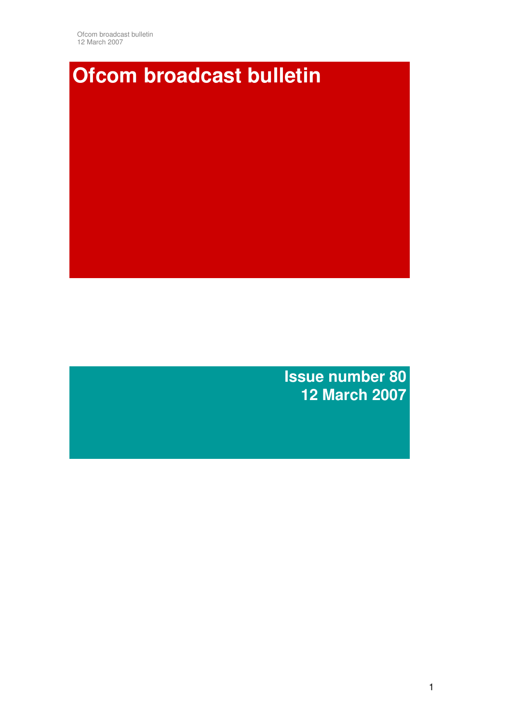Ofcom broadcast bulletin 12 March 2007

# **Ofcom broadcast bulletin**

**Issue number 80 12 March 2007**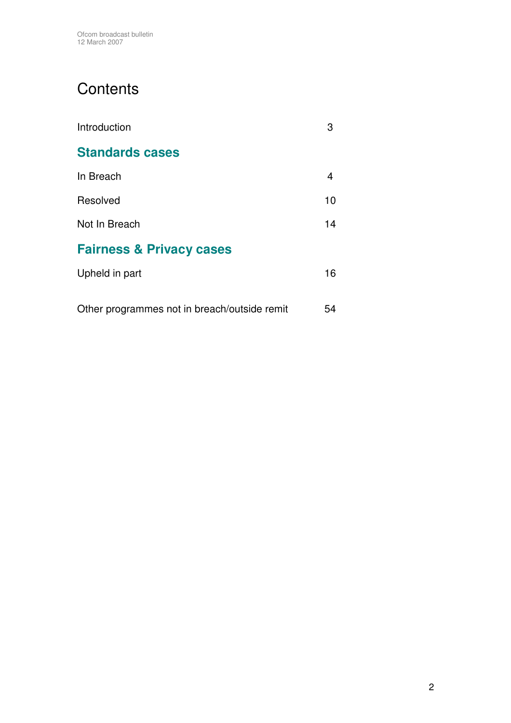# **Contents**

| Introduction                                 | З  |
|----------------------------------------------|----|
| <b>Standards cases</b>                       |    |
| In Breach                                    | 4  |
| Resolved                                     | 10 |
| Not In Breach                                | 14 |
| <b>Fairness &amp; Privacy cases</b>          |    |
| Upheld in part                               | 16 |
| Other programmes not in breach/outside remit | 54 |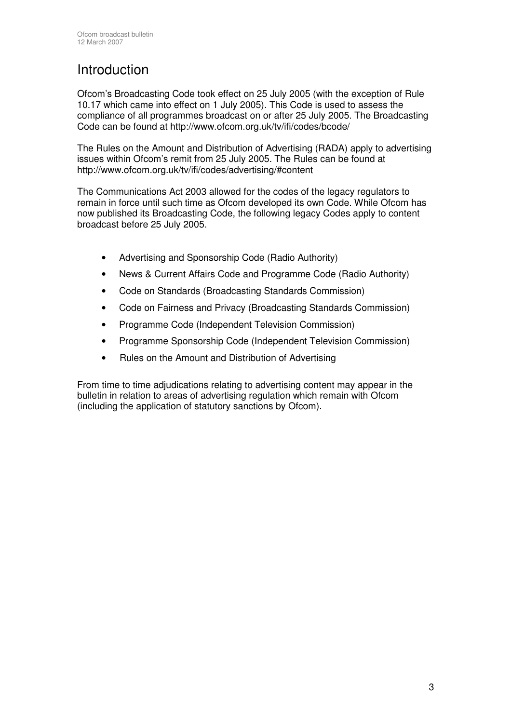# Introduction

Ofcom's Broadcasting Code took effect on 25 July 2005 (with the exception of Rule 10.17 which came into effect on 1 July 2005). This Code is used to assess the compliance of all programmes broadcast on or after 25 July 2005. The Broadcasting Code can be found at http://www.ofcom.org.uk/tv/ifi/codes/bcode/

The Rules on the Amount and Distribution of Advertising (RADA) apply to advertising issues within Ofcom's remit from 25 July 2005. The Rules can be found at http://www.ofcom.org.uk/tv/ifi/codes/advertising/#content

The Communications Act 2003 allowed for the codes of the legacy regulators to remain in force until such time as Ofcom developed its own Code. While Ofcom has now published its Broadcasting Code, the following legacy Codes apply to content broadcast before 25 July 2005.

- Advertising and Sponsorship Code (Radio Authority)
- News & Current Affairs Code and Programme Code (Radio Authority)
- Code on Standards (Broadcasting Standards Commission)
- Code on Fairness and Privacy (Broadcasting Standards Commission)
- Programme Code (Independent Television Commission)
- Programme Sponsorship Code (Independent Television Commission)
- Rules on the Amount and Distribution of Advertising

From time to time adjudications relating to advertising content may appear in the bulletin in relation to areas of advertising regulation which remain with Ofcom (including the application of statutory sanctions by Ofcom).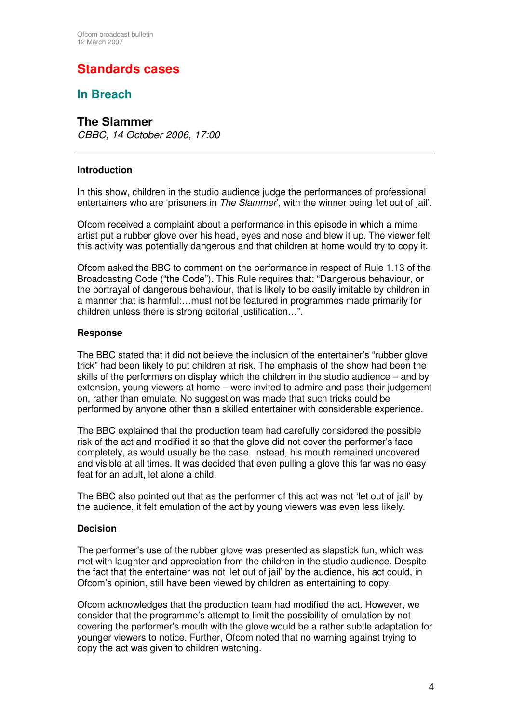# **Standards cases**

## **In Breach**

#### **The Slammer**

*CBBC, 14 October 2006, 17:00*

#### **Introduction**

In this show, children in the studio audience judge the performances of professional entertainers who are 'prisoners in *The Slammer*', with the winner being 'let out of jail'.

Ofcom received a complaint about a performance in this episode in which a mime artist put a rubber glove over his head, eyes and nose and blew it up. The viewer felt this activity was potentially dangerous and that children at home would try to copy it.

Ofcom asked the BBC to comment on the performance in respect of Rule 1.13 of the Broadcasting Code ("the Code"). This Rule requires that: "Dangerous behaviour, or the portrayal of dangerous behaviour, that is likely to be easily imitable by children in a manner that is harmful:…must not be featured in programmes made primarily for children unless there is strong editorial justification…".

#### **Response**

The BBC stated that it did not believe the inclusion of the entertainer's "rubber glove trick" had been likely to put children at risk. The emphasis of the show had been the skills of the performers on display which the children in the studio audience – and by extension, young viewers at home – were invited to admire and pass their judgement on, rather than emulate. No suggestion was made that such tricks could be performed by anyone other than a skilled entertainer with considerable experience.

The BBC explained that the production team had carefully considered the possible risk of the act and modified it so that the glove did not cover the performer's face completely, as would usually be the case. Instead, his mouth remained uncovered and visible at all times. It was decided that even pulling a glove this far was no easy feat for an adult, let alone a child.

The BBC also pointed out that as the performer of this act was not 'let out of jail' by the audience, it felt emulation of the act by young viewers was even less likely.

#### **Decision**

The performer's use of the rubber glove was presented as slapstick fun, which was met with laughter and appreciation from the children in the studio audience. Despite the fact that the entertainer was not 'let out of jail' by the audience, his act could, in Ofcom's opinion, still have been viewed by children as entertaining to copy.

Ofcom acknowledges that the production team had modified the act. However, we consider that the programme's attempt to limit the possibility of emulation by not covering the performer's mouth with the glove would be a rather subtle adaptation for younger viewers to notice. Further, Ofcom noted that no warning against trying to copy the act was given to children watching.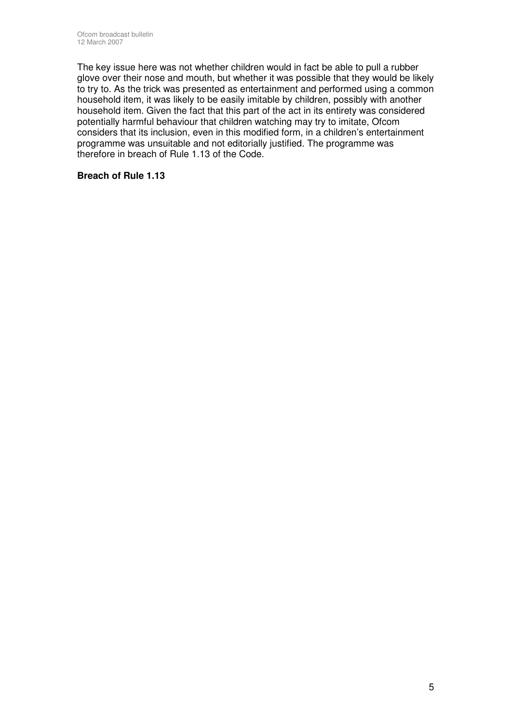The key issue here was not whether children would in fact be able to pull a rubber glove over their nose and mouth, but whether it was possible that they would be likely to try to. As the trick was presented as entertainment and performed using a common household item, it was likely to be easily imitable by children, possibly with another household item. Given the fact that this part of the act in its entirety was considered potentially harmful behaviour that children watching may try to imitate, Ofcom considers that its inclusion, even in this modified form, in a children's entertainment programme was unsuitable and not editorially justified. The programme was therefore in breach of Rule 1.13 of the Code.

#### **Breach of Rule 1.13**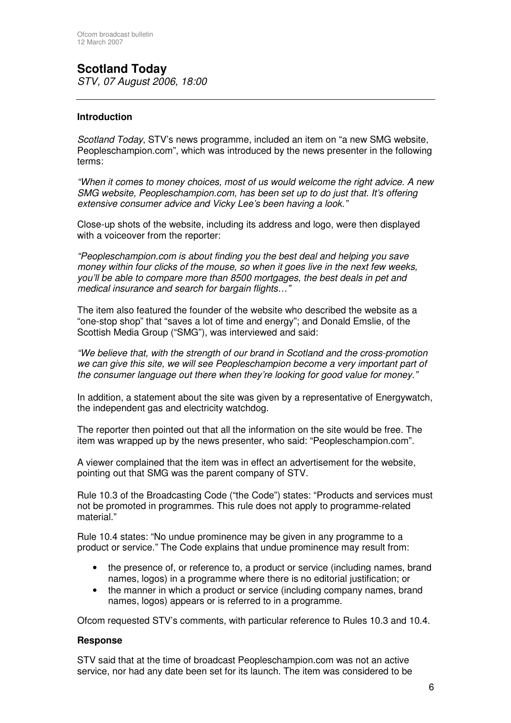# **Scotland Today**

*STV, 07 August 2006, 18:00*

#### **Introduction**

*Scotland Today*, STV's news programme, included an item on "a new SMG website, Peopleschampion.com", which was introduced by the news presenter in the following terms:

*"When it comes to money choices, most of us would welcome the right advice. A new SMG website, Peopleschampion.com, has been set up to do just that. It's offering extensive consumer advice and Vicky Lee's been having a look."*

Close-up shots of the website, including its address and logo, were then displayed with a voiceover from the reporter:

*"Peopleschampion.com is about finding you the best deal and helping you save money within four clicks of the mouse, so when it goes live in the next few weeks, you'll be able to compare more than 8500 mortgages, the best deals in pet and medical insurance and search for bargain flights…"*

The item also featured the founder of the website who described the website as a "one-stop shop" that "saves a lot of time and energy"; and Donald Emslie, of the Scottish Media Group ("SMG"), was interviewed and said:

*"We believe that, with the strength of our brand in Scotland and the cross-promotion we can give this site, we will see Peopleschampion become a very important part of the consumer language out there when they're looking for good value for money."*

In addition, a statement about the site was given by a representative of Energywatch, the independent gas and electricity watchdog.

The reporter then pointed out that all the information on the site would be free. The item was wrapped up by the news presenter, who said: "Peopleschampion.com".

A viewer complained that the item was in effect an advertisement for the website, pointing out that SMG was the parent company of STV.

Rule 10.3 of the Broadcasting Code ("the Code") states: "Products and services must not be promoted in programmes. This rule does not apply to programme-related material."

Rule 10.4 states: "No undue prominence may be given in any programme to a product or service." The Code explains that undue prominence may result from:

- the presence of, or reference to, a product or service (including names, brand names, logos) in a programme where there is no editorial justification; or
- the manner in which a product or service (including company names, brand names, logos) appears or is referred to in a programme.

Ofcom requested STV's comments, with particular reference to Rules 10.3 and 10.4.

#### **Response**

STV said that at the time of broadcast Peopleschampion.com was not an active service, nor had any date been set for its launch. The item was considered to be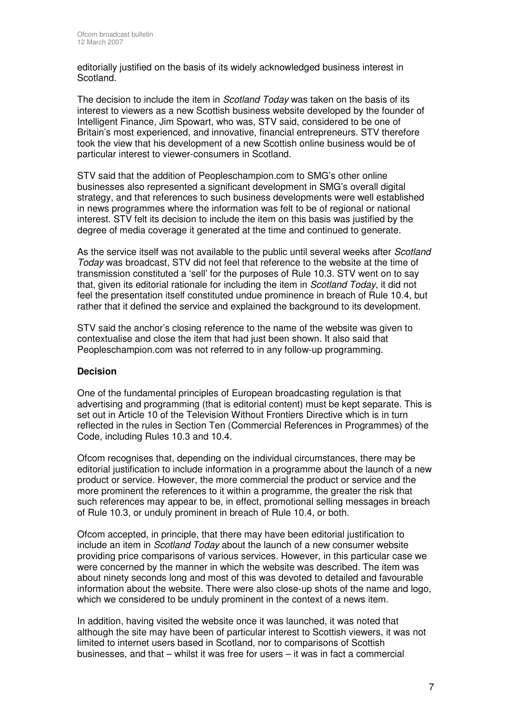editorially justified on the basis of its widely acknowledged business interest in Scotland.

The decision to include the item in *Scotland Today* was taken on the basis of its interest to viewers as a new Scottish business website developed by the founder of Intelligent Finance, Jim Spowart, who was, STV said, considered to be one of Britain's most experienced, and innovative, financial entrepreneurs. STV therefore took the view that his development of a new Scottish online business would be of particular interest to viewer-consumers in Scotland.

STV said that the addition of Peopleschampion.com to SMG's other online businesses also represented a significant development in SMG's overall digital strategy, and that references to such business developments were well established in news programmes where the information was felt to be of regional or national interest. STV felt its decision to include the item on this basis was justified by the degree of media coverage it generated at the time and continued to generate.

As the service itself was not available to the public until several weeks after *Scotland Today* was broadcast, STV did not feel that reference to the website at the time of transmission constituted a 'sell' for the purposes of Rule 10.3. STV went on to say that, given its editorial rationale for including the item in *Scotland Today*, it did not feel the presentation itself constituted undue prominence in breach of Rule 10.4, but rather that it defined the service and explained the background to its development.

STV said the anchor's closing reference to the name of the website was given to contextualise and close the item that had just been shown. It also said that Peopleschampion.com was not referred to in any follow-up programming.

#### **Decision**

One of the fundamental principles of European broadcasting regulation is that advertising and programming (that is editorial content) must be kept separate. This is set out in Article 10 of the Television Without Frontiers Directive which is in turn reflected in the rules in Section Ten (Commercial References in Programmes) of the Code, including Rules 10.3 and 10.4.

Ofcom recognises that, depending on the individual circumstances, there may be editorial justification to include information in a programme about the launch of a new product or service. However, the more commercial the product or service and the more prominent the references to it within a programme, the greater the risk that such references may appear to be, in effect, promotional selling messages in breach of Rule 10.3, or unduly prominent in breach of Rule 10.4, or both.

Ofcom accepted, in principle, that there may have been editorial justification to include an item in *Scotland Today* about the launch of a new consumer website providing price comparisons of various services. However, in this particular case we were concerned by the manner in which the website was described. The item was about ninety seconds long and most of this was devoted to detailed and favourable information about the website. There were also close-up shots of the name and logo, which we considered to be unduly prominent in the context of a news item.

In addition, having visited the website once it was launched, it was noted that although the site may have been of particular interest to Scottish viewers, it was not limited to internet users based in Scotland, nor to comparisons of Scottish businesses, and that – whilst it was free for users – it was in fact a commercial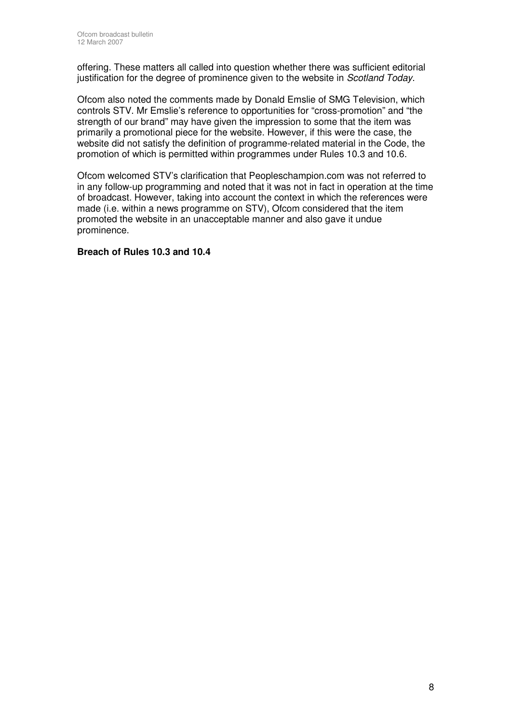offering. These matters all called into question whether there was sufficient editorial justification for the degree of prominence given to the website in *Scotland Today*.

Ofcom also noted the comments made by Donald Emslie of SMG Television, which controls STV. Mr Emslie's reference to opportunities for "cross-promotion" and "the strength of our brand" may have given the impression to some that the item was primarily a promotional piece for the website. However, if this were the case, the website did not satisfy the definition of programme-related material in the Code, the promotion of which is permitted within programmes under Rules 10.3 and 10.6.

Ofcom welcomed STV's clarification that Peopleschampion.com was not referred to in any follow-up programming and noted that it was not in fact in operation at the time of broadcast. However, taking into account the context in which the references were made (i.e. within a news programme on STV), Ofcom considered that the item promoted the website in an unacceptable manner and also gave it undue prominence.

#### **Breach of Rules 10.3 and 10.4**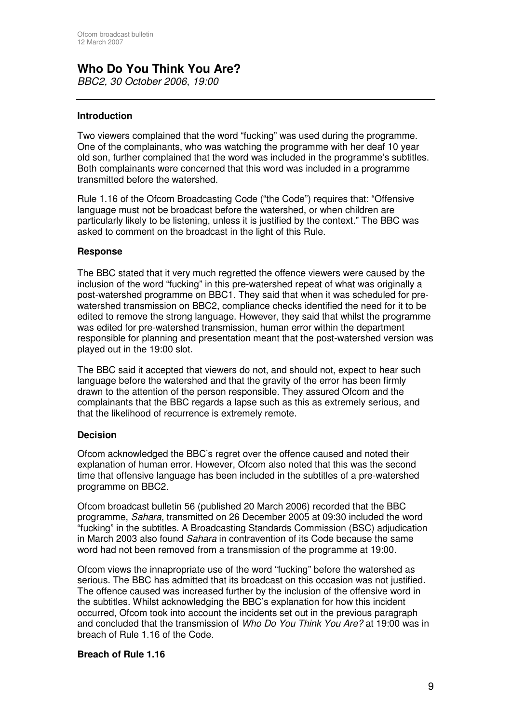# **Who Do You Think You Are?**

*BBC2, 30 October 2006, 19:00*

#### **Introduction**

Two viewers complained that the word "fucking" was used during the programme. One of the complainants, who was watching the programme with her deaf 10 year old son, further complained that the word was included in the programme's subtitles. Both complainants were concerned that this word was included in a programme transmitted before the watershed.

Rule 1.16 of the Ofcom Broadcasting Code ("the Code") requires that: "Offensive language must not be broadcast before the watershed, or when children are particularly likely to be listening, unless it is justified by the context." The BBC was asked to comment on the broadcast in the light of this Rule.

#### **Response**

The BBC stated that it very much regretted the offence viewers were caused by the inclusion of the word "fucking" in this pre-watershed repeat of what was originally a post-watershed programme on BBC1. They said that when it was scheduled for prewatershed transmission on BBC2, compliance checks identified the need for it to be edited to remove the strong language. However, they said that whilst the programme was edited for pre-watershed transmission, human error within the department responsible for planning and presentation meant that the post-watershed version was played out in the 19:00 slot.

The BBC said it accepted that viewers do not, and should not, expect to hear such language before the watershed and that the gravity of the error has been firmly drawn to the attention of the person responsible. They assured Ofcom and the complainants that the BBC regards a lapse such as this as extremely serious, and that the likelihood of recurrence is extremely remote.

#### **Decision**

Ofcom acknowledged the BBC's regret over the offence caused and noted their explanation of human error. However, Ofcom also noted that this was the second time that offensive language has been included in the subtitles of a pre-watershed programme on BBC2.

Ofcom broadcast bulletin 56 (published 20 March 2006) recorded that the BBC programme, *Sahara*, transmitted on 26 December 2005 at 09:30 included the word "fucking" in the subtitles. A Broadcasting Standards Commission (BSC) adjudication in March 2003 also found *Sahara* in contravention of its Code because the same word had not been removed from a transmission of the programme at 19:00.

Ofcom views the innapropriate use of the word "fucking" before the watershed as serious. The BBC has admitted that its broadcast on this occasion was not justified. The offence caused was increased further by the inclusion of the offensive word in the subtitles. Whilst acknowledging the BBC's explanation for how this incident occurred, Ofcom took into account the incidents set out in the previous paragraph and concluded that the transmission of *Who Do You Think You Are?* at 19:00 was in breach of Rule 1.16 of the Code.

#### **Breach of Rule 1.16**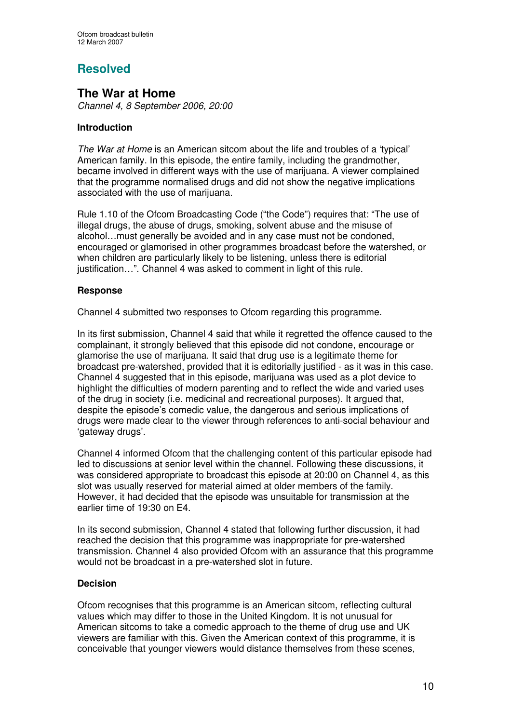## **Resolved**

## **The War at Home**

*Channel 4, 8 September 2006, 20:00*

#### **Introduction**

*The War at Home* is an American sitcom about the life and troubles of a 'typical' American family. In this episode, the entire family, including the grandmother, became involved in different ways with the use of marijuana. A viewer complained that the programme normalised drugs and did not show the negative implications associated with the use of marijuana.

Rule 1.10 of the Ofcom Broadcasting Code ("the Code") requires that: "The use of illegal drugs, the abuse of drugs, smoking, solvent abuse and the misuse of alcohol…must generally be avoided and in any case must not be condoned, encouraged or glamorised in other programmes broadcast before the watershed, or when children are particularly likely to be listening, unless there is editorial justification…". Channel 4 was asked to comment in light of this rule.

#### **Response**

Channel 4 submitted two responses to Ofcom regarding this programme.

In its first submission, Channel 4 said that while it regretted the offence caused to the complainant, it strongly believed that this episode did not condone, encourage or glamorise the use of marijuana. It said that drug use is a legitimate theme for broadcast pre-watershed, provided that it is editorially justified - as it was in this case. Channel 4 suggested that in this episode, marijuana was used as a plot device to highlight the difficulties of modern parenting and to reflect the wide and varied uses of the drug in society (i.e. medicinal and recreational purposes). It argued that, despite the episode's comedic value, the dangerous and serious implications of drugs were made clear to the viewer through references to anti-social behaviour and 'gateway drugs'.

Channel 4 informed Ofcom that the challenging content of this particular episode had led to discussions at senior level within the channel. Following these discussions, it was considered appropriate to broadcast this episode at 20:00 on Channel 4, as this slot was usually reserved for material aimed at older members of the family. However, it had decided that the episode was unsuitable for transmission at the earlier time of 19:30 on E4.

In its second submission, Channel 4 stated that following further discussion, it had reached the decision that this programme was inappropriate for pre-watershed transmission. Channel 4 also provided Ofcom with an assurance that this programme would not be broadcast in a pre-watershed slot in future.

#### **Decision**

Ofcom recognises that this programme is an American sitcom, reflecting cultural values which may differ to those in the United Kingdom. It is not unusual for American sitcoms to take a comedic approach to the theme of drug use and UK viewers are familiar with this. Given the American context of this programme, it is conceivable that younger viewers would distance themselves from these scenes,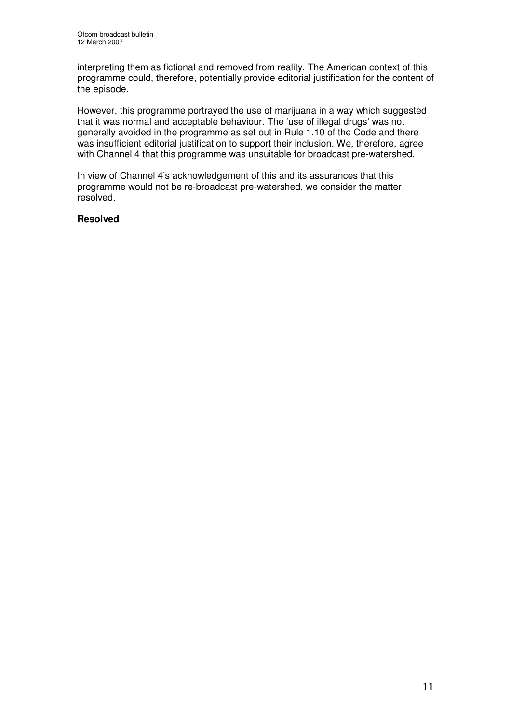interpreting them as fictional and removed from reality. The American context of this programme could, therefore, potentially provide editorial justification for the content of the episode.

However, this programme portrayed the use of marijuana in a way which suggested that it was normal and acceptable behaviour. The 'use of illegal drugs' was not generally avoided in the programme as set out in Rule 1.10 of the Code and there was insufficient editorial justification to support their inclusion. We, therefore, agree with Channel 4 that this programme was unsuitable for broadcast pre-watershed.

In view of Channel 4's acknowledgement of this and its assurances that this programme would not be re-broadcast pre-watershed, we consider the matter resolved.

#### **Resolved**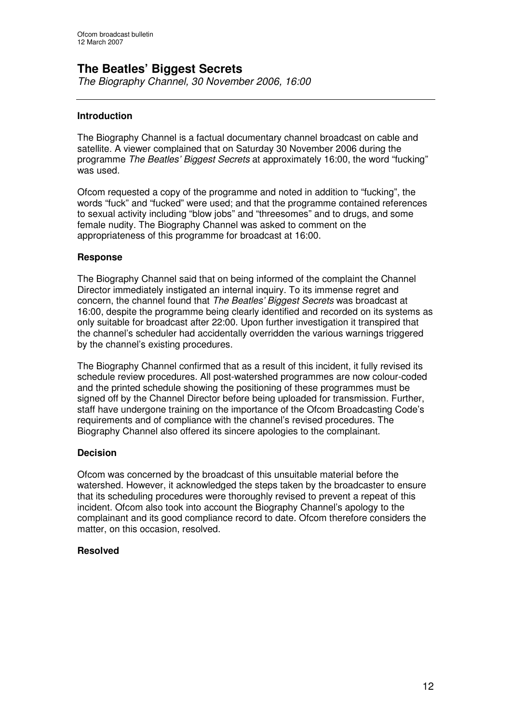## **The Beatles' Biggest Secrets**

*The Biography Channel, 30 November 2006, 16:00*

#### **Introduction**

The Biography Channel is a factual documentary channel broadcast on cable and satellite. A viewer complained that on Saturday 30 November 2006 during the programme *The Beatles' Biggest Secrets* at approximately 16:00, the word "fucking" was used.

Ofcom requested a copy of the programme and noted in addition to "fucking", the words "fuck" and "fucked" were used; and that the programme contained references to sexual activity including "blow jobs" and "threesomes" and to drugs, and some female nudity. The Biography Channel was asked to comment on the appropriateness of this programme for broadcast at 16:00.

#### **Response**

The Biography Channel said that on being informed of the complaint the Channel Director immediately instigated an internal inquiry. To its immense regret and concern, the channel found that *The Beatles' Biggest Secrets* was broadcast at 16:00, despite the programme being clearly identified and recorded on its systems as only suitable for broadcast after 22:00. Upon further investigation it transpired that the channel's scheduler had accidentally overridden the various warnings triggered by the channel's existing procedures.

The Biography Channel confirmed that as a result of this incident, it fully revised its schedule review procedures. All post-watershed programmes are now colour-coded and the printed schedule showing the positioning of these programmes must be signed off by the Channel Director before being uploaded for transmission. Further, staff have undergone training on the importance of the Ofcom Broadcasting Code's requirements and of compliance with the channel's revised procedures. The Biography Channel also offered its sincere apologies to the complainant.

#### **Decision**

Ofcom was concerned by the broadcast of this unsuitable material before the watershed. However, it acknowledged the steps taken by the broadcaster to ensure that its scheduling procedures were thoroughly revised to prevent a repeat of this incident. Ofcom also took into account the Biography Channel's apology to the complainant and its good compliance record to date. Ofcom therefore considers the matter, on this occasion, resolved.

#### **Resolved**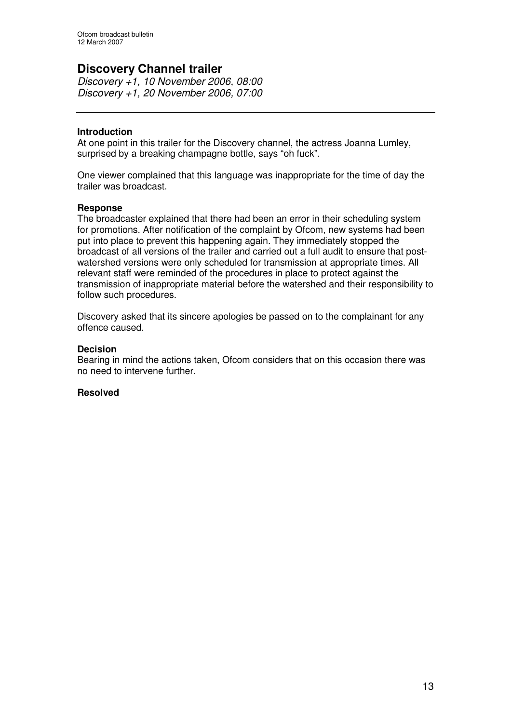## **Discovery Channel trailer**

*Discovery +1, 10 November 2006, 08:00 Discovery +1, 20 November 2006, 07:00*

#### **Introduction**

At one point in this trailer for the Discovery channel, the actress Joanna Lumley, surprised by a breaking champagne bottle, says "oh fuck".

One viewer complained that this language was inappropriate for the time of day the trailer was broadcast.

#### **Response**

The broadcaster explained that there had been an error in their scheduling system for promotions. After notification of the complaint by Ofcom, new systems had been put into place to prevent this happening again. They immediately stopped the broadcast of all versions of the trailer and carried out a full audit to ensure that postwatershed versions were only scheduled for transmission at appropriate times. All relevant staff were reminded of the procedures in place to protect against the transmission of inappropriate material before the watershed and their responsibility to follow such procedures.

Discovery asked that its sincere apologies be passed on to the complainant for any offence caused.

#### **Decision**

Bearing in mind the actions taken, Ofcom considers that on this occasion there was no need to intervene further.

#### **Resolved**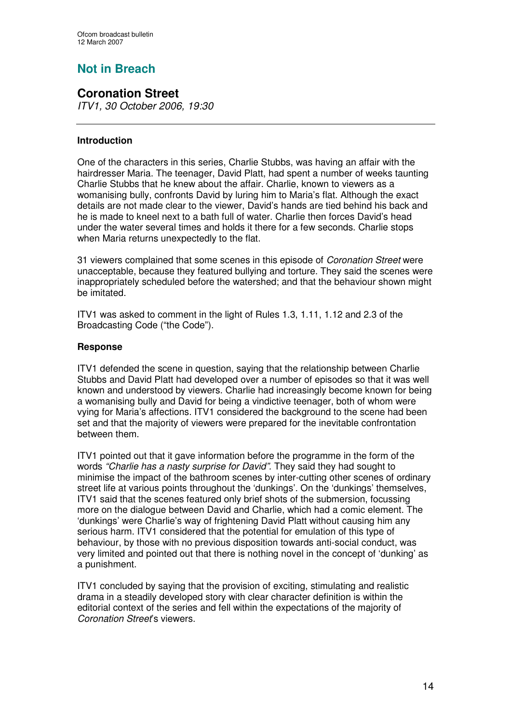# **Not in Breach**

## **Coronation Street**

*ITV1, 30 October 2006, 19:30*

#### **Introduction**

One of the characters in this series, Charlie Stubbs, was having an affair with the hairdresser Maria. The teenager, David Platt, had spent a number of weeks taunting Charlie Stubbs that he knew about the affair. Charlie, known to viewers as a womanising bully, confronts David by luring him to Maria's flat. Although the exact details are not made clear to the viewer, David's hands are tied behind his back and he is made to kneel next to a bath full of water. Charlie then forces David's head under the water several times and holds it there for a few seconds. Charlie stops when Maria returns unexpectedly to the flat.

31 viewers complained that some scenes in this episode of *Coronation Street* were unacceptable, because they featured bullying and torture. They said the scenes were inappropriately scheduled before the watershed; and that the behaviour shown might be imitated.

ITV1 was asked to comment in the light of Rules 1.3, 1.11, 1.12 and 2.3 of the Broadcasting Code ("the Code").

#### **Response**

ITV1 defended the scene in question, saying that the relationship between Charlie Stubbs and David Platt had developed over a number of episodes so that it was well known and understood by viewers. Charlie had increasingly become known for being a womanising bully and David for being a vindictive teenager, both of whom were vying for Maria's affections. ITV1 considered the background to the scene had been set and that the majority of viewers were prepared for the inevitable confrontation between them.

ITV1 pointed out that it gave information before the programme in the form of the words *"Charlie has a nasty surprise for David".* They said they had sought to minimise the impact of the bathroom scenes by inter-cutting other scenes of ordinary street life at various points throughout the 'dunkings'. On the 'dunkings' themselves, ITV1 said that the scenes featured only brief shots of the submersion, focussing more on the dialogue between David and Charlie, which had a comic element. The 'dunkings' were Charlie's way of frightening David Platt without causing him any serious harm. ITV1 considered that the potential for emulation of this type of behaviour, by those with no previous disposition towards anti-social conduct, was very limited and pointed out that there is nothing novel in the concept of 'dunking' as a punishment.

ITV1 concluded by saying that the provision of exciting, stimulating and realistic drama in a steadily developed story with clear character definition is within the editorial context of the series and fell within the expectations of the majority of *Coronation Street*'s viewers.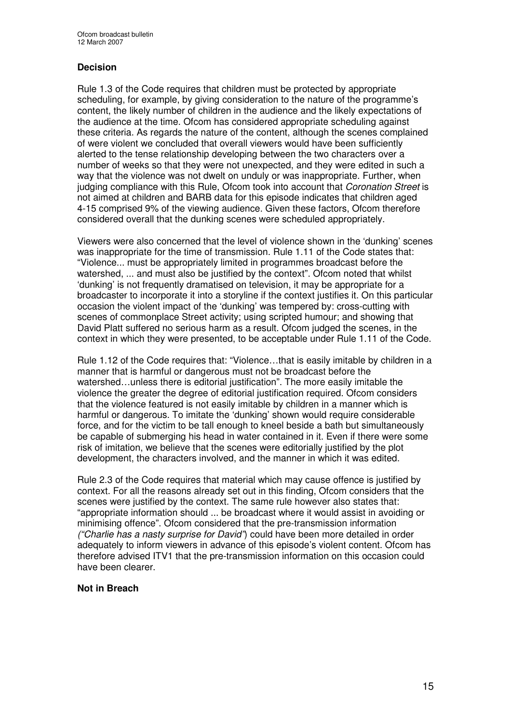#### **Decision**

Rule 1.3 of the Code requires that children must be protected by appropriate scheduling, for example, by giving consideration to the nature of the programme's content, the likely number of children in the audience and the likely expectations of the audience at the time. Ofcom has considered appropriate scheduling against these criteria. As regards the nature of the content, although the scenes complained of were violent we concluded that overall viewers would have been sufficiently alerted to the tense relationship developing between the two characters over a number of weeks so that they were not unexpected, and they were edited in such a way that the violence was not dwelt on unduly or was inappropriate. Further, when judging compliance with this Rule, Ofcom took into account that *Coronation Street* is not aimed at children and BARB data for this episode indicates that children aged 4-15 comprised 9% of the viewing audience. Given these factors, Ofcom therefore considered overall that the dunking scenes were scheduled appropriately.

Viewers were also concerned that the level of violence shown in the 'dunking' scenes was inappropriate for the time of transmission. Rule 1.11 of the Code states that: "Violence... must be appropriately limited in programmes broadcast before the watershed, ... and must also be justified by the context". Ofcom noted that whilst 'dunking' is not frequently dramatised on television, it may be appropriate for a broadcaster to incorporate it into a storyline if the context justifies it. On this particular occasion the violent impact of the 'dunking' was tempered by: cross-cutting with scenes of commonplace Street activity; using scripted humour; and showing that David Platt suffered no serious harm as a result. Ofcom judged the scenes, in the context in which they were presented, to be acceptable under Rule 1.11 of the Code.

Rule 1.12 of the Code requires that: "Violence…that is easily imitable by children in a manner that is harmful or dangerous must not be broadcast before the watershed…unless there is editorial justification". The more easily imitable the violence the greater the degree of editorial justification required. Ofcom considers that the violence featured is not easily imitable by children in a manner which is harmful or dangerous. To imitate the 'dunking' shown would require considerable force, and for the victim to be tall enough to kneel beside a bath but simultaneously be capable of submerging his head in water contained in it. Even if there were some risk of imitation, we believe that the scenes were editorially justified by the plot development, the characters involved, and the manner in which it was edited.

Rule 2.3 of the Code requires that material which may cause offence is justified by context. For all the reasons already set out in this finding, Ofcom considers that the scenes were justified by the context. The same rule however also states that: "appropriate information should ... be broadcast where it would assist in avoiding or minimising offence". Ofcom considered that the pre-transmission information *("Charlie has a nasty surprise for David"*) could have been more detailed in order adequately to inform viewers in advance of this episode's violent content. Ofcom has therefore advised ITV1 that the pre-transmission information on this occasion could have been clearer.

#### **Not in Breach**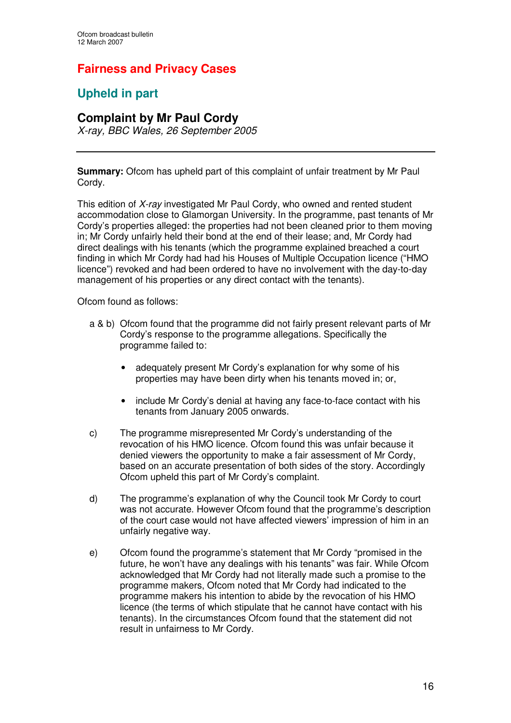## **Fairness and Privacy Cases**

## **Upheld in part**

### **Complaint by Mr Paul Cordy**

*X-ray, BBC Wales, 26 September 2005*

**Summary:** Ofcom has upheld part of this complaint of unfair treatment by Mr Paul Cordy.

This edition of *X-ray* investigated Mr Paul Cordy, who owned and rented student accommodation close to Glamorgan University. In the programme, past tenants of Mr Cordy's properties alleged: the properties had not been cleaned prior to them moving in; Mr Cordy unfairly held their bond at the end of their lease; and, Mr Cordy had direct dealings with his tenants (which the programme explained breached a court finding in which Mr Cordy had had his Houses of Multiple Occupation licence ("HMO licence") revoked and had been ordered to have no involvement with the day-to-day management of his properties or any direct contact with the tenants).

Ofcom found as follows:

- a & b) Ofcom found that the programme did not fairly present relevant parts of Mr Cordy's response to the programme allegations. Specifically the programme failed to:
	- adequately present Mr Cordy's explanation for why some of his properties may have been dirty when his tenants moved in; or,
	- include Mr Cordy's denial at having any face-to-face contact with his tenants from January 2005 onwards.
- c) The programme misrepresented Mr Cordy's understanding of the revocation of his HMO licence. Ofcom found this was unfair because it denied viewers the opportunity to make a fair assessment of Mr Cordy, based on an accurate presentation of both sides of the story. Accordingly Ofcom upheld this part of Mr Cordy's complaint.
- d) The programme's explanation of why the Council took Mr Cordy to court was not accurate. However Ofcom found that the programme's description of the court case would not have affected viewers' impression of him in an unfairly negative way.
- e) Ofcom found the programme's statement that Mr Cordy "promised in the future, he won't have any dealings with his tenants" was fair. While Ofcom acknowledged that Mr Cordy had not literally made such a promise to the programme makers, Ofcom noted that Mr Cordy had indicated to the programme makers his intention to abide by the revocation of his HMO licence (the terms of which stipulate that he cannot have contact with his tenants). In the circumstances Ofcom found that the statement did not result in unfairness to Mr Cordy.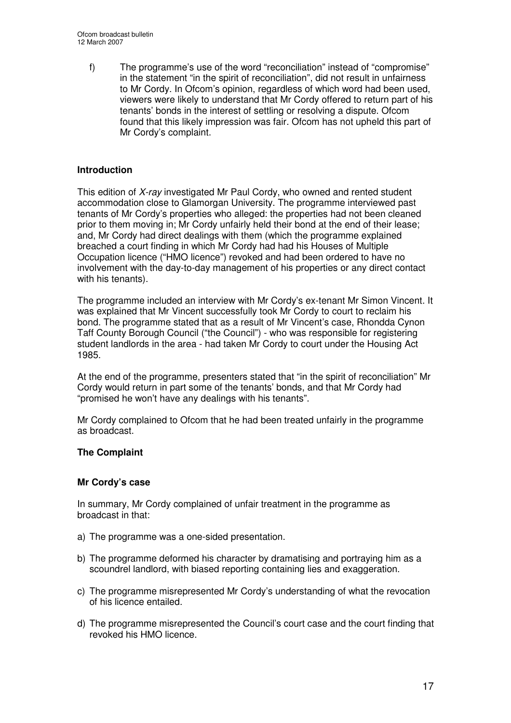f) The programme's use of the word "reconciliation" instead of "compromise" in the statement "in the spirit of reconciliation", did not result in unfairness to Mr Cordy. In Ofcom's opinion, regardless of which word had been used, viewers were likely to understand that Mr Cordy offered to return part of his tenants' bonds in the interest of settling or resolving a dispute. Ofcom found that this likely impression was fair. Ofcom has not upheld this part of Mr Cordy's complaint.

#### **Introduction**

This edition of *X-ray* investigated Mr Paul Cordy, who owned and rented student accommodation close to Glamorgan University. The programme interviewed past tenants of Mr Cordy's properties who alleged: the properties had not been cleaned prior to them moving in; Mr Cordy unfairly held their bond at the end of their lease; and, Mr Cordy had direct dealings with them (which the programme explained breached a court finding in which Mr Cordy had had his Houses of Multiple Occupation licence ("HMO licence") revoked and had been ordered to have no involvement with the day-to-day management of his properties or any direct contact with his tenants).

The programme included an interview with Mr Cordy's ex-tenant Mr Simon Vincent. It was explained that Mr Vincent successfully took Mr Cordy to court to reclaim his bond. The programme stated that as a result of Mr Vincent's case, Rhondda Cynon Taff County Borough Council ("the Council") - who was responsible for registering student landlords in the area - had taken Mr Cordy to court under the Housing Act 1985.

At the end of the programme, presenters stated that "in the spirit of reconciliation" Mr Cordy would return in part some of the tenants' bonds, and that Mr Cordy had "promised he won't have any dealings with his tenants".

Mr Cordy complained to Ofcom that he had been treated unfairly in the programme as broadcast.

#### **The Complaint**

#### **Mr Cordy's case**

In summary, Mr Cordy complained of unfair treatment in the programme as broadcast in that:

- a) The programme was a one-sided presentation.
- b) The programme deformed his character by dramatising and portraying him as a scoundrel landlord, with biased reporting containing lies and exaggeration.
- c) The programme misrepresented Mr Cordy's understanding of what the revocation of his licence entailed.
- d) The programme misrepresented the Council's court case and the court finding that revoked his HMO licence.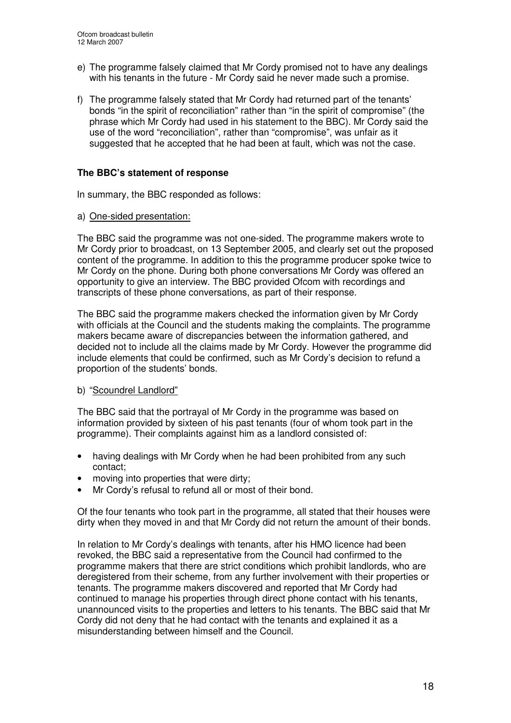- e) The programme falsely claimed that Mr Cordy promised not to have any dealings with his tenants in the future - Mr Cordy said he never made such a promise.
- f) The programme falsely stated that Mr Cordy had returned part of the tenants' bonds "in the spirit of reconciliation" rather than "in the spirit of compromise" (the phrase which Mr Cordy had used in his statement to the BBC). Mr Cordy said the use of the word "reconciliation", rather than "compromise", was unfair as it suggested that he accepted that he had been at fault, which was not the case.

#### **The BBC's statement of response**

In summary, the BBC responded as follows:

a) One-sided presentation:

The BBC said the programme was not one-sided. The programme makers wrote to Mr Cordy prior to broadcast, on 13 September 2005, and clearly set out the proposed content of the programme. In addition to this the programme producer spoke twice to Mr Cordy on the phone. During both phone conversations Mr Cordy was offered an opportunity to give an interview. The BBC provided Ofcom with recordings and transcripts of these phone conversations, as part of their response.

The BBC said the programme makers checked the information given by Mr Cordy with officials at the Council and the students making the complaints. The programme makers became aware of discrepancies between the information gathered, and decided not to include all the claims made by Mr Cordy. However the programme did include elements that could be confirmed, such as Mr Cordy's decision to refund a proportion of the students' bonds.

#### b) "Scoundrel Landlord"

The BBC said that the portrayal of Mr Cordy in the programme was based on information provided by sixteen of his past tenants (four of whom took part in the programme). Their complaints against him as a landlord consisted of:

- having dealings with Mr Cordy when he had been prohibited from any such contact;
- moving into properties that were dirty;
- Mr Cordy's refusal to refund all or most of their bond.

Of the four tenants who took part in the programme, all stated that their houses were dirty when they moved in and that Mr Cordy did not return the amount of their bonds.

In relation to Mr Cordy's dealings with tenants, after his HMO licence had been revoked, the BBC said a representative from the Council had confirmed to the programme makers that there are strict conditions which prohibit landlords, who are deregistered from their scheme, from any further involvement with their properties or tenants. The programme makers discovered and reported that Mr Cordy had continued to manage his properties through direct phone contact with his tenants, unannounced visits to the properties and letters to his tenants. The BBC said that Mr Cordy did not deny that he had contact with the tenants and explained it as a misunderstanding between himself and the Council.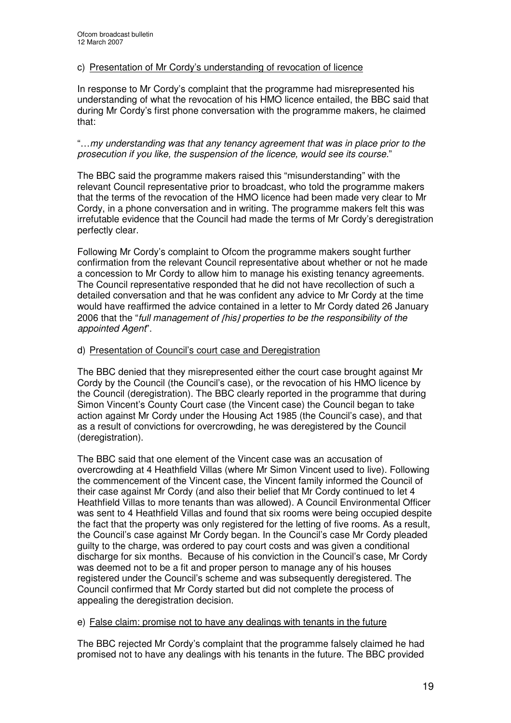#### c) Presentation of Mr Cordy's understanding of revocation of licence

In response to Mr Cordy's complaint that the programme had misrepresented his understanding of what the revocation of his HMO licence entailed, the BBC said that during Mr Cordy's first phone conversation with the programme makers, he claimed that:

#### "…*my understanding was that any tenancy agreement that was in place prior to the prosecution if you like, the suspension of the licence, would see its course.*"

The BBC said the programme makers raised this "misunderstanding" with the relevant Council representative prior to broadcast, who told the programme makers that the terms of the revocation of the HMO licence had been made very clear to Mr Cordy, in a phone conversation and in writing. The programme makers felt this was irrefutable evidence that the Council had made the terms of Mr Cordy's deregistration perfectly clear.

Following Mr Cordy's complaint to Ofcom the programme makers sought further confirmation from the relevant Council representative about whether or not he made a concession to Mr Cordy to allow him to manage his existing tenancy agreements. The Council representative responded that he did not have recollection of such a detailed conversation and that he was confident any advice to Mr Cordy at the time would have reaffirmed the advice contained in a letter to Mr Cordy dated 26 January 2006 that the "*full management of* [*his*] *properties to be the responsibility of the appointed Agent*".

#### d) Presentation of Council's court case and Deregistration

The BBC denied that they misrepresented either the court case brought against Mr Cordy by the Council (the Council's case), or the revocation of his HMO licence by the Council (deregistration). The BBC clearly reported in the programme that during Simon Vincent's County Court case (the Vincent case) the Council began to take action against Mr Cordy under the Housing Act 1985 (the Council's case), and that as a result of convictions for overcrowding, he was deregistered by the Council (deregistration).

The BBC said that one element of the Vincent case was an accusation of overcrowding at 4 Heathfield Villas (where Mr Simon Vincent used to live). Following the commencement of the Vincent case, the Vincent family informed the Council of their case against Mr Cordy (and also their belief that Mr Cordy continued to let 4 Heathfield Villas to more tenants than was allowed). A Council Environmental Officer was sent to 4 Heathfield Villas and found that six rooms were being occupied despite the fact that the property was only registered for the letting of five rooms. As a result, the Council's case against Mr Cordy began. In the Council's case Mr Cordy pleaded guilty to the charge, was ordered to pay court costs and was given a conditional discharge for six months. Because of his conviction in the Council's case, Mr Cordy was deemed not to be a fit and proper person to manage any of his houses registered under the Council's scheme and was subsequently deregistered. The Council confirmed that Mr Cordy started but did not complete the process of appealing the deregistration decision.

#### e) False claim: promise not to have any dealings with tenants in the future

The BBC rejected Mr Cordy's complaint that the programme falsely claimed he had promised not to have any dealings with his tenants in the future. The BBC provided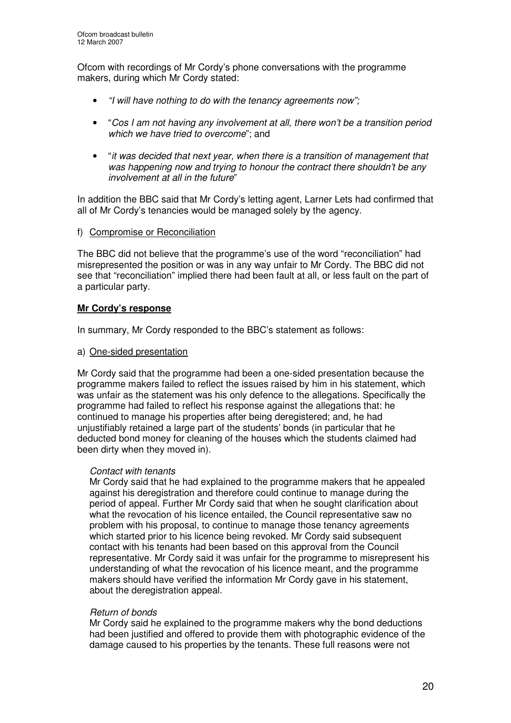Ofcom with recordings of Mr Cordy's phone conversations with the programme makers, during which Mr Cordy stated:

- *"I will have nothing to do with the tenancy agreements now";*
- "*Cos I am not having any involvement at all, there won't be a transition period which we have tried to overcome*"; and
- "*it was decided that next year, when there is a transition of management that was happening now and trying to honour the contract there shouldn't be any involvement at all in the future*"

In addition the BBC said that Mr Cordy's letting agent, Larner Lets had confirmed that all of Mr Cordy's tenancies would be managed solely by the agency.

f) Compromise or Reconciliation

The BBC did not believe that the programme's use of the word "reconciliation" had misrepresented the position or was in any way unfair to Mr Cordy. The BBC did not see that "reconciliation" implied there had been fault at all, or less fault on the part of a particular party.

#### **Mr Cordy's response**

In summary, Mr Cordy responded to the BBC's statement as follows:

a) One-sided presentation

Mr Cordy said that the programme had been a one-sided presentation because the programme makers failed to reflect the issues raised by him in his statement, which was unfair as the statement was his only defence to the allegations. Specifically the programme had failed to reflect his response against the allegations that: he continued to manage his properties after being deregistered; and, he had unjustifiably retained a large part of the students' bonds (in particular that he deducted bond money for cleaning of the houses which the students claimed had been dirty when they moved in).

#### *Contact with tenants*

Mr Cordy said that he had explained to the programme makers that he appealed against his deregistration and therefore could continue to manage during the period of appeal. Further Mr Cordy said that when he sought clarification about what the revocation of his licence entailed, the Council representative saw no problem with his proposal, to continue to manage those tenancy agreements which started prior to his licence being revoked. Mr Cordy said subsequent contact with his tenants had been based on this approval from the Council representative. Mr Cordy said it was unfair for the programme to misrepresent his understanding of what the revocation of his licence meant, and the programme makers should have verified the information Mr Cordy gave in his statement, about the deregistration appeal.

#### *Return of bonds*

Mr Cordy said he explained to the programme makers why the bond deductions had been justified and offered to provide them with photographic evidence of the damage caused to his properties by the tenants. These full reasons were not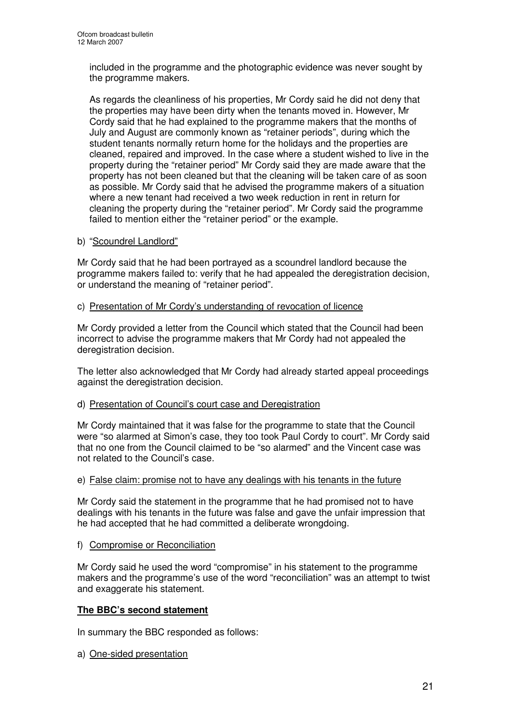included in the programme and the photographic evidence was never sought by the programme makers.

As regards the cleanliness of his properties, Mr Cordy said he did not deny that the properties may have been dirty when the tenants moved in. However, Mr Cordy said that he had explained to the programme makers that the months of July and August are commonly known as "retainer periods", during which the student tenants normally return home for the holidays and the properties are cleaned, repaired and improved. In the case where a student wished to live in the property during the "retainer period" Mr Cordy said they are made aware that the property has not been cleaned but that the cleaning will be taken care of as soon as possible. Mr Cordy said that he advised the programme makers of a situation where a new tenant had received a two week reduction in rent in return for cleaning the property during the "retainer period". Mr Cordy said the programme failed to mention either the "retainer period" or the example.

#### b) "Scoundrel Landlord"

Mr Cordy said that he had been portrayed as a scoundrel landlord because the programme makers failed to: verify that he had appealed the deregistration decision, or understand the meaning of "retainer period".

#### c) Presentation of Mr Cordy's understanding of revocation of licence

Mr Cordy provided a letter from the Council which stated that the Council had been incorrect to advise the programme makers that Mr Cordy had not appealed the deregistration decision.

The letter also acknowledged that Mr Cordy had already started appeal proceedings against the deregistration decision.

#### d) Presentation of Council's court case and Deregistration

Mr Cordy maintained that it was false for the programme to state that the Council were "so alarmed at Simon's case, they too took Paul Cordy to court". Mr Cordy said that no one from the Council claimed to be "so alarmed" and the Vincent case was not related to the Council's case.

#### e) False claim: promise not to have any dealings with his tenants in the future

Mr Cordy said the statement in the programme that he had promised not to have dealings with his tenants in the future was false and gave the unfair impression that he had accepted that he had committed a deliberate wrongdoing.

f) Compromise or Reconciliation

Mr Cordy said he used the word "compromise" in his statement to the programme makers and the programme's use of the word "reconciliation" was an attempt to twist and exaggerate his statement.

#### **The BBC's second statement**

In summary the BBC responded as follows:

a) One-sided presentation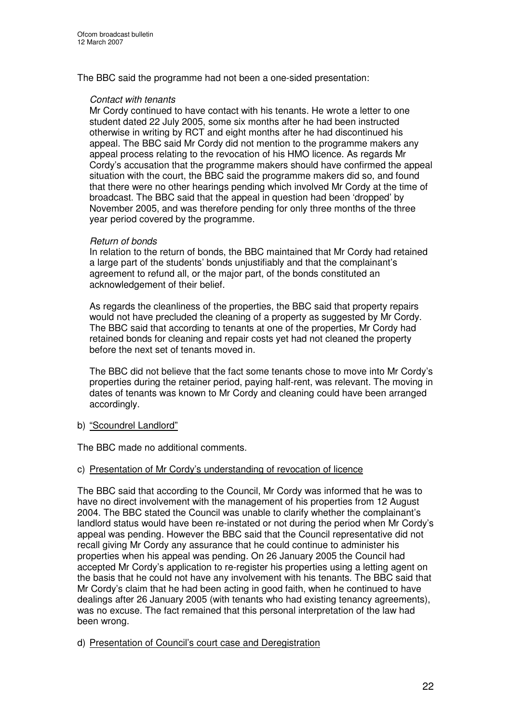The BBC said the programme had not been a one-sided presentation:

#### *Contact with tenants*

Mr Cordy continued to have contact with his tenants. He wrote a letter to one student dated 22 July 2005, some six months after he had been instructed otherwise in writing by RCT and eight months after he had discontinued his appeal. The BBC said Mr Cordy did not mention to the programme makers any appeal process relating to the revocation of his HMO licence. As regards Mr Cordy's accusation that the programme makers should have confirmed the appeal situation with the court, the BBC said the programme makers did so, and found that there were no other hearings pending which involved Mr Cordy at the time of broadcast. The BBC said that the appeal in question had been 'dropped' by November 2005, and was therefore pending for only three months of the three year period covered by the programme.

#### *Return of bonds*

In relation to the return of bonds, the BBC maintained that Mr Cordy had retained a large part of the students' bonds unjustifiably and that the complainant's agreement to refund all, or the major part, of the bonds constituted an acknowledgement of their belief.

As regards the cleanliness of the properties, the BBC said that property repairs would not have precluded the cleaning of a property as suggested by Mr Cordy. The BBC said that according to tenants at one of the properties, Mr Cordy had retained bonds for cleaning and repair costs yet had not cleaned the property before the next set of tenants moved in.

The BBC did not believe that the fact some tenants chose to move into Mr Cordy's properties during the retainer period, paying half-rent, was relevant. The moving in dates of tenants was known to Mr Cordy and cleaning could have been arranged accordingly.

#### b) "Scoundrel Landlord"

The BBC made no additional comments.

#### c) Presentation of Mr Cordy's understanding of revocation of licence

The BBC said that according to the Council, Mr Cordy was informed that he was to have no direct involvement with the management of his properties from 12 August 2004. The BBC stated the Council was unable to clarify whether the complainant's landlord status would have been re-instated or not during the period when Mr Cordy's appeal was pending. However the BBC said that the Council representative did not recall giving Mr Cordy any assurance that he could continue to administer his properties when his appeal was pending. On 26 January 2005 the Council had accepted Mr Cordy's application to re-register his properties using a letting agent on the basis that he could not have any involvement with his tenants. The BBC said that Mr Cordy's claim that he had been acting in good faith, when he continued to have dealings after 26 January 2005 (with tenants who had existing tenancy agreements), was no excuse. The fact remained that this personal interpretation of the law had been wrong.

#### d) Presentation of Council's court case and Deregistration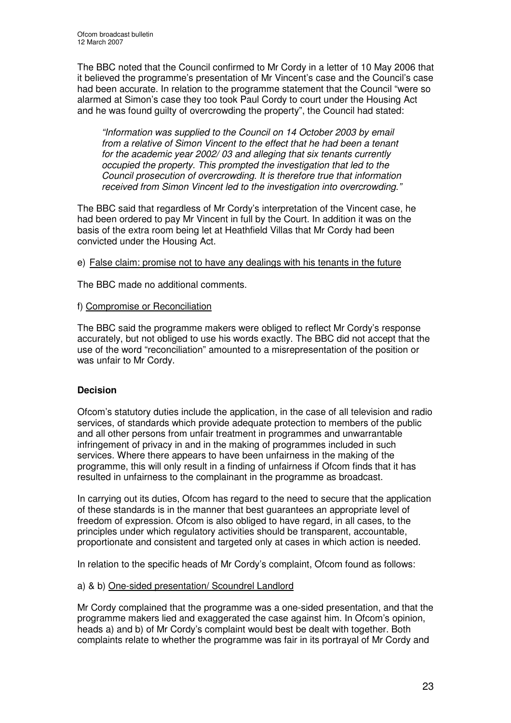The BBC noted that the Council confirmed to Mr Cordy in a letter of 10 May 2006 that it believed the programme's presentation of Mr Vincent's case and the Council's case had been accurate. In relation to the programme statement that the Council "were so alarmed at Simon's case they too took Paul Cordy to court under the Housing Act and he was found guilty of overcrowding the property", the Council had stated:

*"Information was supplied to the Council on 14 October 2003 by email from a relative of Simon Vincent to the effect that he had been a tenant for the academic year 2002/ 03 and alleging that six tenants currently occupied the property. This prompted the investigation that led to the Council prosecution of overcrowding. It is therefore true that information received from Simon Vincent led to the investigation into overcrowding."*

The BBC said that regardless of Mr Cordy's interpretation of the Vincent case, he had been ordered to pay Mr Vincent in full by the Court. In addition it was on the basis of the extra room being let at Heathfield Villas that Mr Cordy had been convicted under the Housing Act.

#### e) False claim: promise not to have any dealings with his tenants in the future

The BBC made no additional comments.

#### f) Compromise or Reconciliation

The BBC said the programme makers were obliged to reflect Mr Cordy's response accurately, but not obliged to use his words exactly. The BBC did not accept that the use of the word "reconciliation" amounted to a misrepresentation of the position or was unfair to Mr Cordy.

#### **Decision**

Ofcom's statutory duties include the application, in the case of all television and radio services, of standards which provide adequate protection to members of the public and all other persons from unfair treatment in programmes and unwarrantable infringement of privacy in and in the making of programmes included in such services. Where there appears to have been unfairness in the making of the programme, this will only result in a finding of unfairness if Ofcom finds that it has resulted in unfairness to the complainant in the programme as broadcast.

In carrying out its duties, Ofcom has regard to the need to secure that the application of these standards is in the manner that best guarantees an appropriate level of freedom of expression. Ofcom is also obliged to have regard, in all cases, to the principles under which regulatory activities should be transparent, accountable, proportionate and consistent and targeted only at cases in which action is needed.

In relation to the specific heads of Mr Cordy's complaint, Ofcom found as follows:

#### a) & b) One-sided presentation/ Scoundrel Landlord

Mr Cordy complained that the programme was a one-sided presentation, and that the programme makers lied and exaggerated the case against him. In Ofcom's opinion, heads a) and b) of Mr Cordy's complaint would best be dealt with together. Both complaints relate to whether the programme was fair in its portrayal of Mr Cordy and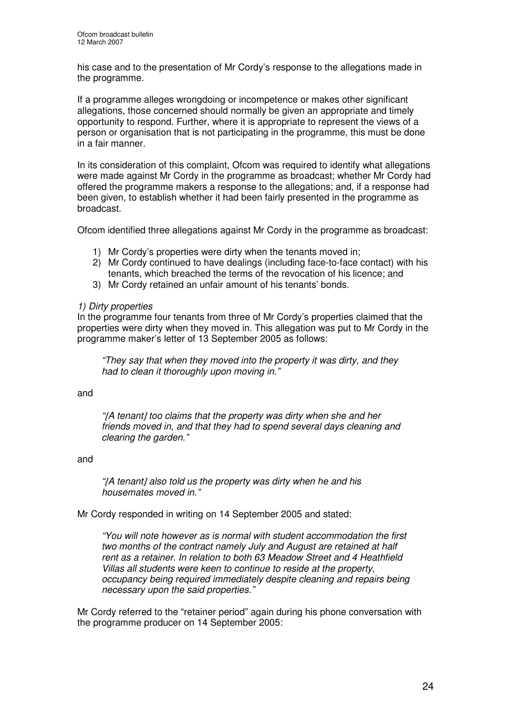his case and to the presentation of Mr Cordy's response to the allegations made in the programme.

If a programme alleges wrongdoing or incompetence or makes other significant allegations, those concerned should normally be given an appropriate and timely opportunity to respond. Further, where it is appropriate to represent the views of a person or organisation that is not participating in the programme, this must be done in a fair manner.

In its consideration of this complaint, Ofcom was required to identify what allegations were made against Mr Cordy in the programme as broadcast; whether Mr Cordy had offered the programme makers a response to the allegations; and, if a response had been given, to establish whether it had been fairly presented in the programme as broadcast.

Ofcom identified three allegations against Mr Cordy in the programme as broadcast:

- 1) Mr Cordy's properties were dirty when the tenants moved in;
- 2) Mr Cordy continued to have dealings (including face-to-face contact) with his tenants, which breached the terms of the revocation of his licence; and
- 3) Mr Cordy retained an unfair amount of his tenants' bonds.

#### *1) Dirty properties*

In the programme four tenants from three of Mr Cordy's properties claimed that the properties were dirty when they moved in. This allegation was put to Mr Cordy in the programme maker's letter of 13 September 2005 as follows:

*"They say that when they moved into the property it was dirty, and they had to clean it thoroughly upon moving in."*

and

*"*[*A tenant*] *too claims that the property was dirty when she and her friends moved in, and that they had to spend several days cleaning and clearing the garden."*

#### and

*"*[*A tenant*] *also told us the property was dirty when he and his housemates moved in."*

Mr Cordy responded in writing on 14 September 2005 and stated:

*"You will note however as is normal with student accommodation the first two months of the contract namely July and August are retained at half rent as a retainer. In relation to both 63 Meadow Street and 4 Heathfield Villas all students were keen to continue to reside at the property, occupancy being required immediately despite cleaning and repairs being necessary upon the said properties."*

Mr Cordy referred to the "retainer period" again during his phone conversation with the programme producer on 14 September 2005: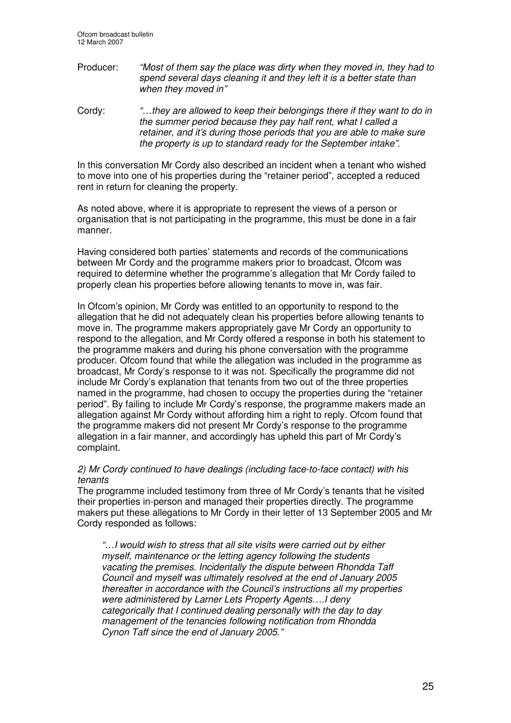Producer: *"Most of them say the place was dirty when they moved in, they had to spend several days cleaning it and they left it is a better state than when they moved in"*

Cordy: *"…they are allowed to keep their belongings there if they want to do in the summer period because they pay half rent, what I called a retainer, and it's during those periods that you are able to make sure the property is up to standard ready for the September intake".*

In this conversation Mr Cordy also described an incident when a tenant who wished to move into one of his properties during the "retainer period", accepted a reduced rent in return for cleaning the property.

As noted above, where it is appropriate to represent the views of a person or organisation that is not participating in the programme, this must be done in a fair manner.

Having considered both parties' statements and records of the communications between Mr Cordy and the programme makers prior to broadcast, Ofcom was required to determine whether the programme's allegation that Mr Cordy failed to properly clean his properties before allowing tenants to move in, was fair.

In Ofcom's opinion, Mr Cordy was entitled to an opportunity to respond to the allegation that he did not adequately clean his properties before allowing tenants to move in. The programme makers appropriately gave Mr Cordy an opportunity to respond to the allegation, and Mr Cordy offered a response in both his statement to the programme makers and during his phone conversation with the programme producer. Ofcom found that while the allegation was included in the programme as broadcast, Mr Cordy's response to it was not. Specifically the programme did not include Mr Cordy's explanation that tenants from two out of the three properties named in the programme, had chosen to occupy the properties during the "retainer period". By failing to include Mr Cordy's response, the programme makers made an allegation against Mr Cordy without affording him a right to reply. Ofcom found that the programme makers did not present Mr Cordy's response to the programme allegation in a fair manner, and accordingly has upheld this part of Mr Cordy's complaint.

#### *2) Mr Cordy continued to have dealings (including face-to-face contact) with his tenants*

The programme included testimony from three of Mr Cordy's tenants that he visited their properties in-person and managed their properties directly. The programme makers put these allegations to Mr Cordy in their letter of 13 September 2005 and Mr Cordy responded as follows:

*"…I would wish to stress that all site visits were carried out by either myself, maintenance or the letting agency following the students vacating the premises. Incidentally the dispute between Rhondda Taff Council and myself was ultimately resolved at the end of January 2005 thereafter in accordance with the Council's instructions all my properties were administered by Larner Lets Property Agents….I deny categorically that I continued dealing personally with the day to day management of the tenancies following notification from Rhondda Cynon Taff since the end of January 2005."*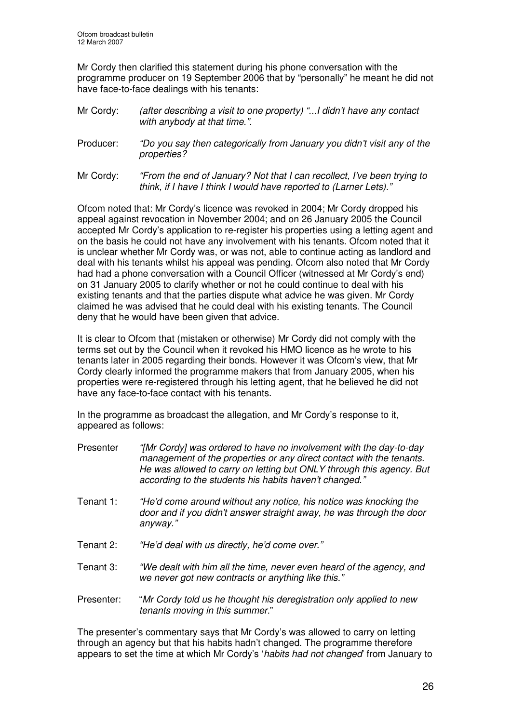Mr Cordy then clarified this statement during his phone conversation with the programme producer on 19 September 2006 that by "personally" he meant he did not have face-to-face dealings with his tenants:

- Mr Cordy: *(after describing a visit to one property) "...I didn't have any contact with anybody at that time.".*
- Producer: *"Do you say then categorically from January you didn't visit any of the properties?*
- Mr Cordy: *"From the end of January? Not that I can recollect, I've been trying to think, if I have I think I would have reported to (Larner Lets)."*

Ofcom noted that: Mr Cordy's licence was revoked in 2004; Mr Cordy dropped his appeal against revocation in November 2004; and on 26 January 2005 the Council accepted Mr Cordy's application to re-register his properties using a letting agent and on the basis he could not have any involvement with his tenants. Ofcom noted that it is unclear whether Mr Cordy was, or was not, able to continue acting as landlord and deal with his tenants whilst his appeal was pending. Ofcom also noted that Mr Cordy had had a phone conversation with a Council Officer (witnessed at Mr Cordy's end) on 31 January 2005 to clarify whether or not he could continue to deal with his existing tenants and that the parties dispute what advice he was given. Mr Cordy claimed he was advised that he could deal with his existing tenants. The Council deny that he would have been given that advice.

It is clear to Ofcom that (mistaken or otherwise) Mr Cordy did not comply with the terms set out by the Council when it revoked his HMO licence as he wrote to his tenants later in 2005 regarding their bonds. However it was Ofcom's view, that Mr Cordy clearly informed the programme makers that from January 2005, when his properties were re-registered through his letting agent, that he believed he did not have any face-to-face contact with his tenants.

In the programme as broadcast the allegation, and Mr Cordy's response to it, appeared as follows:

Presenter *"[Mr Cordy] was ordered to have no involvement with the day-to-day management of the properties or any direct contact with the tenants. He was allowed to carry on letting but ONLY through this agency. But according to the students his habits haven't changed."* Tenant 1: *"He'd come around without any notice, his notice was knocking the door and if you didn't answer straight away, he was through the door anyway."* Tenant 2: *"He'd deal with us directly, he'd come over."* Tenant 3: *"We dealt with him all the time, never even heard of the agency, and we never got new contracts or anything like this."* Presenter: "*Mr Cordy told us he thought his deregistration only applied to new tenants moving in this summer*."

The presenter's commentary says that Mr Cordy's was allowed to carry on letting through an agency but that his habits hadn't changed. The programme therefore appears to set the time at which Mr Cordy's '*habits had not changed*' from January to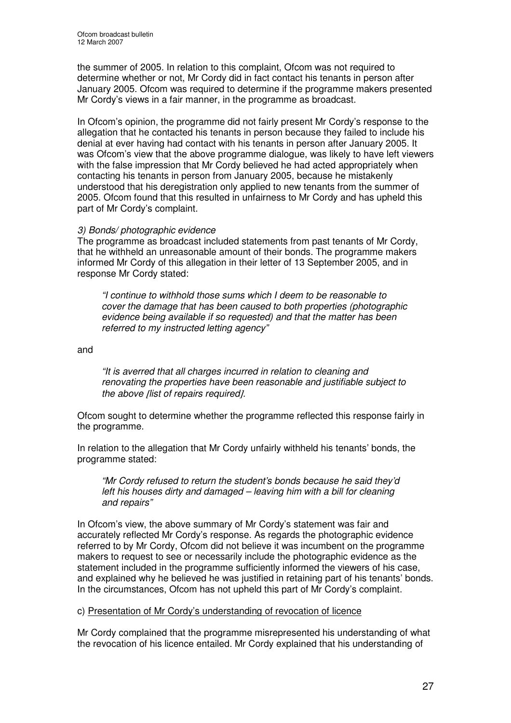the summer of 2005. In relation to this complaint, Ofcom was not required to determine whether or not, Mr Cordy did in fact contact his tenants in person after January 2005. Ofcom was required to determine if the programme makers presented Mr Cordy's views in a fair manner, in the programme as broadcast.

In Ofcom's opinion, the programme did not fairly present Mr Cordy's response to the allegation that he contacted his tenants in person because they failed to include his denial at ever having had contact with his tenants in person after January 2005. It was Ofcom's view that the above programme dialogue, was likely to have left viewers with the false impression that Mr Cordy believed he had acted appropriately when contacting his tenants in person from January 2005, because he mistakenly understood that his deregistration only applied to new tenants from the summer of 2005. Ofcom found that this resulted in unfairness to Mr Cordy and has upheld this part of Mr Cordy's complaint.

#### *3) Bonds/ photographic evidence*

The programme as broadcast included statements from past tenants of Mr Cordy, that he withheld an unreasonable amount of their bonds. The programme makers informed Mr Cordy of this allegation in their letter of 13 September 2005, and in response Mr Cordy stated:

*"I continue to withhold those sums which I deem to be reasonable to cover the damage that has been caused to both properties (photographic evidence being available if so requested) and that the matter has been referred to my instructed letting agency"*

and

*"It is averred that all charges incurred in relation to cleaning and renovating the properties have been reasonable and justifiable subject to the above* [*list of repairs required*]*.*

Ofcom sought to determine whether the programme reflected this response fairly in the programme.

In relation to the allegation that Mr Cordy unfairly withheld his tenants' bonds, the programme stated:

*"Mr Cordy refused to return the student's bonds because he said they'd left his houses dirty and damaged – leaving him with a bill for cleaning and repairs"*

In Ofcom's view, the above summary of Mr Cordy's statement was fair and accurately reflected Mr Cordy's response. As regards the photographic evidence referred to by Mr Cordy, Ofcom did not believe it was incumbent on the programme makers to request to see or necessarily include the photographic evidence as the statement included in the programme sufficiently informed the viewers of his case, and explained why he believed he was justified in retaining part of his tenants' bonds. In the circumstances, Ofcom has not upheld this part of Mr Cordy's complaint.

#### c) Presentation of Mr Cordy's understanding of revocation of licence

Mr Cordy complained that the programme misrepresented his understanding of what the revocation of his licence entailed. Mr Cordy explained that his understanding of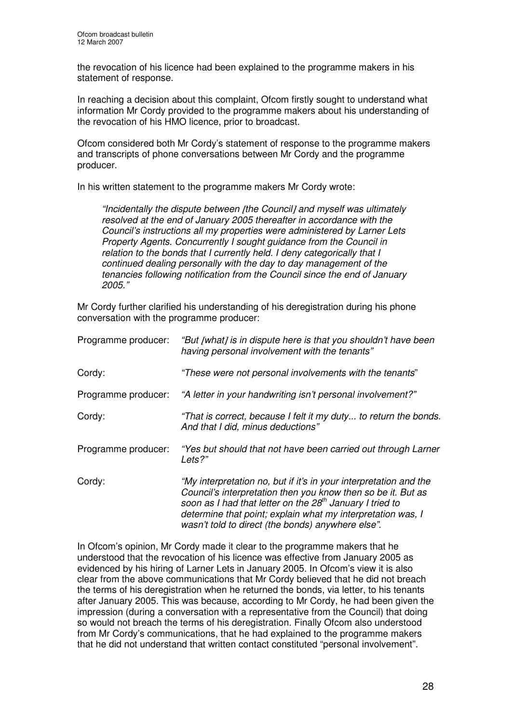the revocation of his licence had been explained to the programme makers in his statement of response.

In reaching a decision about this complaint, Ofcom firstly sought to understand what information Mr Cordy provided to the programme makers about his understanding of the revocation of his HMO licence, prior to broadcast.

Ofcom considered both Mr Cordy's statement of response to the programme makers and transcripts of phone conversations between Mr Cordy and the programme producer.

In his written statement to the programme makers Mr Cordy wrote:

*"Incidentally the dispute between* [*the Council*] *and myself was ultimately resolved at the end of January 2005 thereafter in accordance with the Council's instructions all my properties were administered by Larner Lets Property Agents. Concurrently I sought guidance from the Council in relation to the bonds that I currently held. I deny categorically that I continued dealing personally with the day to day management of the tenancies following notification from the Council since the end of January 2005."*

Mr Cordy further clarified his understanding of his deregistration during his phone conversation with the programme producer:

| Programme producer: | "But [what] is in dispute here is that you shouldn't have been<br>having personal involvement with the tenants"                                                                                                                                                                                                               |
|---------------------|-------------------------------------------------------------------------------------------------------------------------------------------------------------------------------------------------------------------------------------------------------------------------------------------------------------------------------|
| Cordy:              | "These were not personal involvements with the tenants"                                                                                                                                                                                                                                                                       |
| Programme producer: | "A letter in your handwriting isn't personal involvement?"                                                                                                                                                                                                                                                                    |
| Cordy:              | "That is correct, because I felt it my duty to return the bonds.<br>And that I did, minus deductions"                                                                                                                                                                                                                         |
| Programme producer: | "Yes but should that not have been carried out through Larner<br>Lets?"                                                                                                                                                                                                                                                       |
| Cordy:              | "My interpretation no, but if it's in your interpretation and the<br>Council's interpretation then you know then so be it. But as<br>soon as I had that letter on the 28 <sup>th</sup> January I tried to<br>determine that point; explain what my interpretation was, I<br>wasn't told to direct (the bonds) anywhere else". |

In Ofcom's opinion, Mr Cordy made it clear to the programme makers that he understood that the revocation of his licence was effective from January 2005 as evidenced by his hiring of Larner Lets in January 2005. In Ofcom's view it is also clear from the above communications that Mr Cordy believed that he did not breach the terms of his deregistration when he returned the bonds, via letter, to his tenants after January 2005. This was because, according to Mr Cordy, he had been given the impression (during a conversation with a representative from the Council) that doing so would not breach the terms of his deregistration. Finally Ofcom also understood from Mr Cordy's communications, that he had explained to the programme makers that he did not understand that written contact constituted "personal involvement".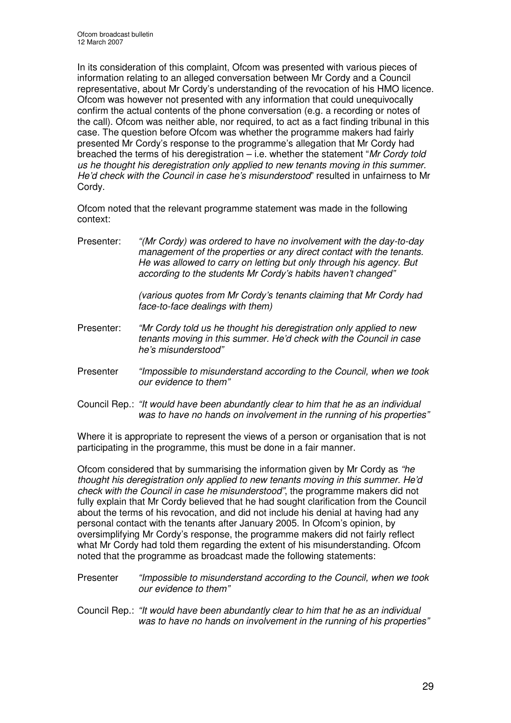In its consideration of this complaint, Ofcom was presented with various pieces of information relating to an alleged conversation between Mr Cordy and a Council representative, about Mr Cordy's understanding of the revocation of his HMO licence. Ofcom was however not presented with any information that could unequivocally confirm the actual contents of the phone conversation (e.g. a recording or notes of the call). Ofcom was neither able, nor required, to act as a fact finding tribunal in this case. The question before Ofcom was whether the programme makers had fairly presented Mr Cordy's response to the programme's allegation that Mr Cordy had breached the terms of his deregistration – i.e. whether the statement "*Mr Cordy told us he thought his deregistration only applied to new tenants moving in this summer. He'd check with the Council in case he's misunderstood*" resulted in unfairness to Mr Cordy.

Ofcom noted that the relevant programme statement was made in the following context:

Presenter: *"(Mr Cordy) was ordered to have no involvement with the day-to-day management of the properties or any direct contact with the tenants. He was allowed to carry on letting but only through his agency. But according to the students Mr Cordy's habits haven't changed"*

> *(various quotes from Mr Cordy's tenants claiming that Mr Cordy had face-to-face dealings with them)*

- Presenter: *"Mr Cordy told us he thought his deregistration only applied to new tenants moving in this summer. He'd check with the Council in case he's misunderstood"*
- Presenter *"Impossible to misunderstand according to the Council, when we took our evidence to them"*
- Council Rep.: *"It would have been abundantly clear to him that he as an individual was to have no hands on involvement in the running of his properties"*

Where it is appropriate to represent the views of a person or organisation that is not participating in the programme, this must be done in a fair manner.

Ofcom considered that by summarising the information given by Mr Cordy as *"he thought his deregistration only applied to new tenants moving in this summer. He'd check with the Council in case he misunderstood"*, the programme makers did not fully explain that Mr Cordy believed that he had sought clarification from the Council about the terms of his revocation, and did not include his denial at having had any personal contact with the tenants after January 2005. In Ofcom's opinion, by oversimplifying Mr Cordy's response, the programme makers did not fairly reflect what Mr Cordy had told them regarding the extent of his misunderstanding. Ofcom noted that the programme as broadcast made the following statements:

- Presenter *"Impossible to misunderstand according to the Council, when we took our evidence to them"*
- Council Rep.: *"It would have been abundantly clear to him that he as an individual was to have no hands on involvement in the running of his properties"*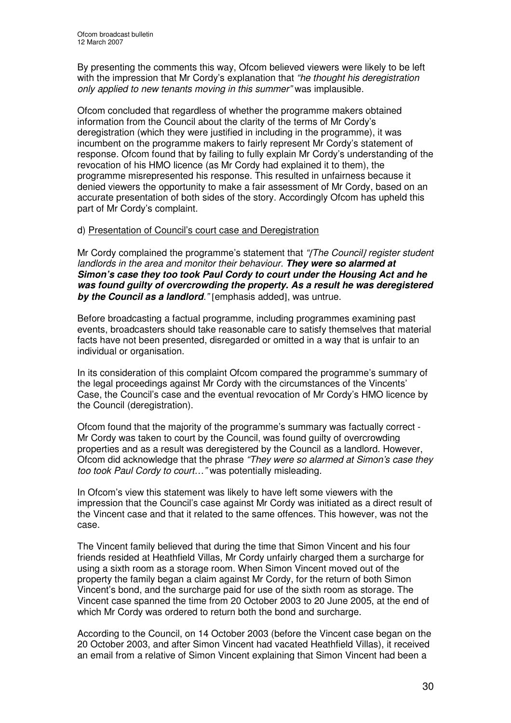By presenting the comments this way, Ofcom believed viewers were likely to be left with the impression that Mr Cordy's explanation that *"he thought his deregistration only applied to new tenants moving in this summer"* was implausible.

Ofcom concluded that regardless of whether the programme makers obtained information from the Council about the clarity of the terms of Mr Cordy's deregistration (which they were justified in including in the programme), it was incumbent on the programme makers to fairly represent Mr Cordy's statement of response. Ofcom found that by failing to fully explain Mr Cordy's understanding of the revocation of his HMO licence (as Mr Cordy had explained it to them), the programme misrepresented his response. This resulted in unfairness because it denied viewers the opportunity to make a fair assessment of Mr Cordy, based on an accurate presentation of both sides of the story. Accordingly Ofcom has upheld this part of Mr Cordy's complaint.

#### d) Presentation of Council's court case and Deregistration

Mr Cordy complained the programme's statement that *"*[*The Council*] *register student landlords in the area and monitor their behaviour. They were so alarmed at Simon's case they too took Paul Cordy to court under the Housing Act and he was found guilty of overcrowding the property. As a result he was deregistered by the Council as a landlord."* [emphasis added], was untrue.

Before broadcasting a factual programme, including programmes examining past events, broadcasters should take reasonable care to satisfy themselves that material facts have not been presented, disregarded or omitted in a way that is unfair to an individual or organisation.

In its consideration of this complaint Ofcom compared the programme's summary of the legal proceedings against Mr Cordy with the circumstances of the Vincents' Case, the Council's case and the eventual revocation of Mr Cordy's HMO licence by the Council (deregistration).

Ofcom found that the majority of the programme's summary was factually correct - Mr Cordy was taken to court by the Council, was found guilty of overcrowding properties and as a result was deregistered by the Council as a landlord. However, Ofcom did acknowledge that the phrase *"They were so alarmed at Simon's case they too took Paul Cordy to court…"* was potentially misleading.

In Ofcom's view this statement was likely to have left some viewers with the impression that the Council's case against Mr Cordy was initiated as a direct result of the Vincent case and that it related to the same offences. This however, was not the case.

The Vincent family believed that during the time that Simon Vincent and his four friends resided at Heathfield Villas, Mr Cordy unfairly charged them a surcharge for using a sixth room as a storage room. When Simon Vincent moved out of the property the family began a claim against Mr Cordy, for the return of both Simon Vincent's bond, and the surcharge paid for use of the sixth room as storage. The Vincent case spanned the time from 20 October 2003 to 20 June 2005, at the end of which Mr Cordy was ordered to return both the bond and surcharge.

According to the Council, on 14 October 2003 (before the Vincent case began on the 20 October 2003, and after Simon Vincent had vacated Heathfield Villas), it received an email from a relative of Simon Vincent explaining that Simon Vincent had been a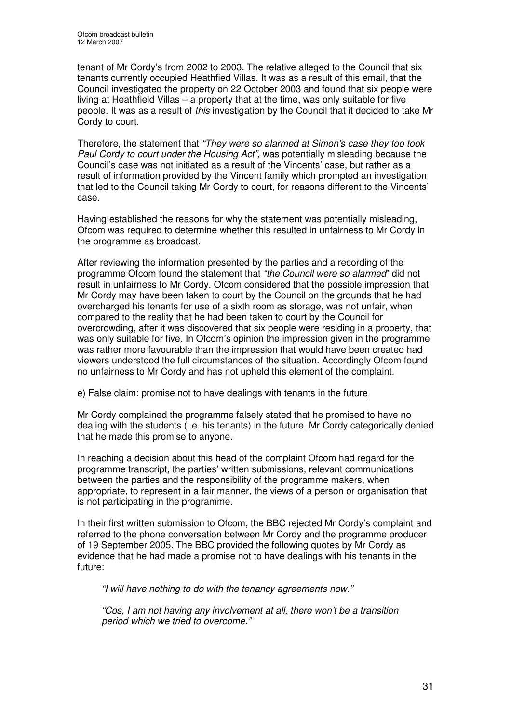tenant of Mr Cordy's from 2002 to 2003. The relative alleged to the Council that six tenants currently occupied Heathfied Villas. It was as a result of this email, that the Council investigated the property on 22 October 2003 and found that six people were living at Heathfield Villas – a property that at the time, was only suitable for five people. It was as a result of *this* investigation by the Council that it decided to take Mr Cordy to court.

Therefore, the statement that *"They were so alarmed at Simon's case they too took Paul Cordy to court under the Housing Act",* was potentially misleading because the Council's case was not initiated as a result of the Vincents' case, but rather as a result of information provided by the Vincent family which prompted an investigation that led to the Council taking Mr Cordy to court, for reasons different to the Vincents' case.

Having established the reasons for why the statement was potentially misleading, Ofcom was required to determine whether this resulted in unfairness to Mr Cordy in the programme as broadcast.

After reviewing the information presented by the parties and a recording of the programme Ofcom found the statement that *"the Council were so alarmed*" did not result in unfairness to Mr Cordy. Ofcom considered that the possible impression that Mr Cordy may have been taken to court by the Council on the grounds that he had overcharged his tenants for use of a sixth room as storage, was not unfair, when compared to the reality that he had been taken to court by the Council for overcrowding, after it was discovered that six people were residing in a property, that was only suitable for five. In Ofcom's opinion the impression given in the programme was rather more favourable than the impression that would have been created had viewers understood the full circumstances of the situation. Accordingly Ofcom found no unfairness to Mr Cordy and has not upheld this element of the complaint.

#### e) False claim: promise not to have dealings with tenants in the future

Mr Cordy complained the programme falsely stated that he promised to have no dealing with the students (i.e. his tenants) in the future. Mr Cordy categorically denied that he made this promise to anyone.

In reaching a decision about this head of the complaint Ofcom had regard for the programme transcript, the parties' written submissions, relevant communications between the parties and the responsibility of the programme makers, when appropriate, to represent in a fair manner, the views of a person or organisation that is not participating in the programme.

In their first written submission to Ofcom, the BBC rejected Mr Cordy's complaint and referred to the phone conversation between Mr Cordy and the programme producer of 19 September 2005. The BBC provided the following quotes by Mr Cordy as evidence that he had made a promise not to have dealings with his tenants in the future:

*"I will have nothing to do with the tenancy agreements now."*

*"Cos, I am not having any involvement at all, there won't be a transition period which we tried to overcome."*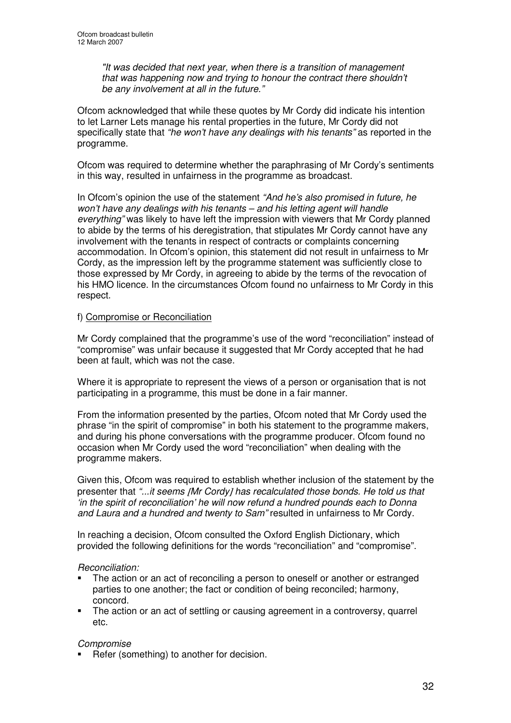*"It was decided that next year, when there is a transition of management that was happening now and trying to honour the contract there shouldn't be any involvement at all in the future."*

Ofcom acknowledged that while these quotes by Mr Cordy did indicate his intention to let Larner Lets manage his rental properties in the future, Mr Cordy did not specifically state that *"he won't have any dealings with his tenants"* as reported in the programme.

Ofcom was required to determine whether the paraphrasing of Mr Cordy's sentiments in this way, resulted in unfairness in the programme as broadcast.

In Ofcom's opinion the use of the statement *"And he's also promised in future, he won't have any dealings with his tenants – and his letting agent will handle everything"* was likely to have left the impression with viewers that Mr Cordy planned to abide by the terms of his deregistration, that stipulates Mr Cordy cannot have any involvement with the tenants in respect of contracts or complaints concerning accommodation. In Ofcom's opinion, this statement did not result in unfairness to Mr Cordy, as the impression left by the programme statement was sufficiently close to those expressed by Mr Cordy, in agreeing to abide by the terms of the revocation of his HMO licence. In the circumstances Ofcom found no unfairness to Mr Cordy in this respect.

#### f) Compromise or Reconciliation

Mr Cordy complained that the programme's use of the word "reconciliation" instead of "compromise" was unfair because it suggested that Mr Cordy accepted that he had been at fault, which was not the case.

Where it is appropriate to represent the views of a person or organisation that is not participating in a programme, this must be done in a fair manner.

From the information presented by the parties, Ofcom noted that Mr Cordy used the phrase "in the spirit of compromise" in both his statement to the programme makers, and during his phone conversations with the programme producer. Ofcom found no occasion when Mr Cordy used the word "reconciliation" when dealing with the programme makers.

Given this, Ofcom was required to establish whether inclusion of the statement by the presenter that *"...it seems* [*Mr Cordy*] *has recalculated those bonds. He told us that 'in the spirit of reconciliation' he will now refund a hundred pounds each to Donna and Laura and a hundred and twenty to Sam"* resulted in unfairness to Mr Cordy.

In reaching a decision, Ofcom consulted the Oxford English Dictionary, which provided the following definitions for the words "reconciliation" and "compromise".

#### *Reconciliation:*

- The action or an act of reconciling a person to oneself or another or estranged parties to one another; the fact or condition of being reconciled; harmony, concord.
- The action or an act of settling or causing agreement in a controversy, quarrel etc.

#### *Compromise*

Refer (something) to another for decision.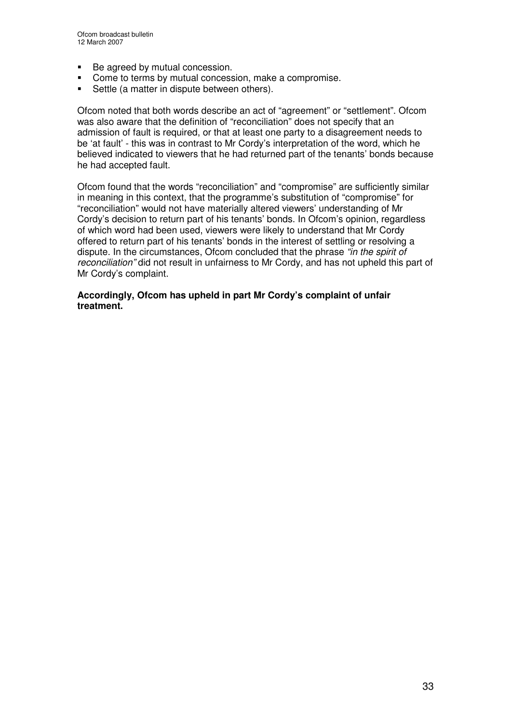- Be agreed by mutual concession.
- **Come to terms by mutual concession, make a compromise.**
- Settle (a matter in dispute between others).

Ofcom noted that both words describe an act of "agreement" or "settlement". Ofcom was also aware that the definition of "reconciliation" does not specify that an admission of fault is required, or that at least one party to a disagreement needs to be 'at fault' - this was in contrast to Mr Cordy's interpretation of the word, which he believed indicated to viewers that he had returned part of the tenants' bonds because he had accepted fault.

Ofcom found that the words "reconciliation" and "compromise" are sufficiently similar in meaning in this context, that the programme's substitution of "compromise" for "reconciliation" would not have materially altered viewers' understanding of Mr Cordy's decision to return part of his tenants' bonds. In Ofcom's opinion, regardless of which word had been used, viewers were likely to understand that Mr Cordy offered to return part of his tenants' bonds in the interest of settling or resolving a dispute. In the circumstances, Ofcom concluded that the phrase *"in the spirit of reconciliation"* did not result in unfairness to Mr Cordy, and has not upheld this part of Mr Cordy's complaint.

**Accordingly, Ofcom has upheld in part Mr Cordy's complaint of unfair treatment.**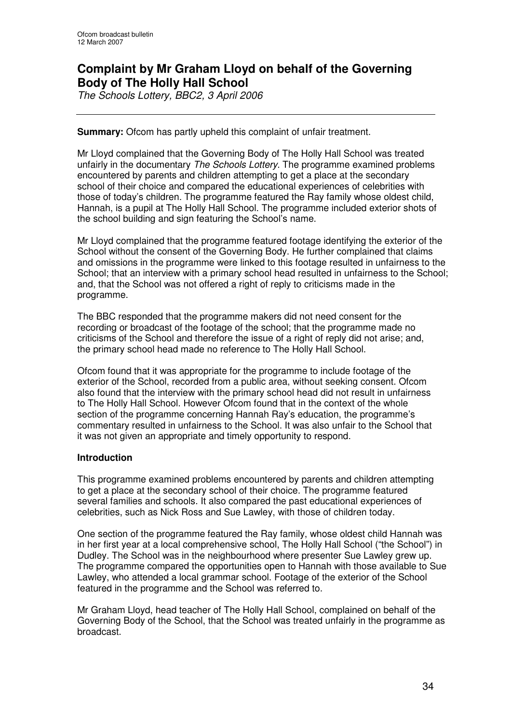## **Complaint by Mr Graham Lloyd on behalf of the Governing Body of The Holly Hall School**

*The Schools Lottery, BBC2, 3 April 2006*

#### **Summary:** Ofcom has partly upheld this complaint of unfair treatment.

Mr Lloyd complained that the Governing Body of The Holly Hall School was treated unfairly in the documentary *The Schools Lottery*. The programme examined problems encountered by parents and children attempting to get a place at the secondary school of their choice and compared the educational experiences of celebrities with those of today's children. The programme featured the Ray family whose oldest child, Hannah, is a pupil at The Holly Hall School. The programme included exterior shots of the school building and sign featuring the School's name.

Mr Lloyd complained that the programme featured footage identifying the exterior of the School without the consent of the Governing Body. He further complained that claims and omissions in the programme were linked to this footage resulted in unfairness to the School; that an interview with a primary school head resulted in unfairness to the School; and, that the School was not offered a right of reply to criticisms made in the programme.

The BBC responded that the programme makers did not need consent for the recording or broadcast of the footage of the school; that the programme made no criticisms of the School and therefore the issue of a right of reply did not arise; and, the primary school head made no reference to The Holly Hall School.

Ofcom found that it was appropriate for the programme to include footage of the exterior of the School, recorded from a public area, without seeking consent. Ofcom also found that the interview with the primary school head did not result in unfairness to The Holly Hall School. However Ofcom found that in the context of the whole section of the programme concerning Hannah Ray's education, the programme's commentary resulted in unfairness to the School. It was also unfair to the School that it was not given an appropriate and timely opportunity to respond.

#### **Introduction**

This programme examined problems encountered by parents and children attempting to get a place at the secondary school of their choice. The programme featured several families and schools. It also compared the past educational experiences of celebrities, such as Nick Ross and Sue Lawley, with those of children today.

One section of the programme featured the Ray family, whose oldest child Hannah was in her first year at a local comprehensive school, The Holly Hall School ("the School") in Dudley. The School was in the neighbourhood where presenter Sue Lawley grew up. The programme compared the opportunities open to Hannah with those available to Sue Lawley, who attended a local grammar school. Footage of the exterior of the School featured in the programme and the School was referred to.

Mr Graham Lloyd, head teacher of The Holly Hall School, complained on behalf of the Governing Body of the School, that the School was treated unfairly in the programme as broadcast.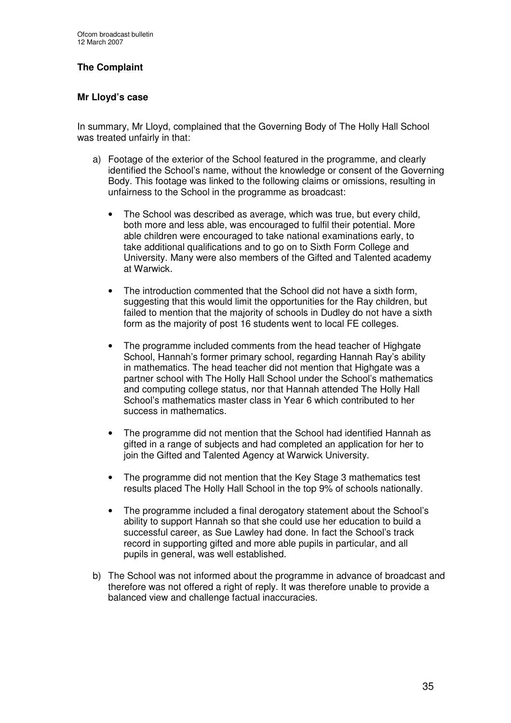#### **The Complaint**

#### **Mr Lloyd's case**

In summary, Mr Lloyd, complained that the Governing Body of The Holly Hall School was treated unfairly in that:

- a) Footage of the exterior of the School featured in the programme, and clearly identified the School's name, without the knowledge or consent of the Governing Body. This footage was linked to the following claims or omissions, resulting in unfairness to the School in the programme as broadcast:
	- The School was described as average, which was true, but every child, both more and less able, was encouraged to fulfil their potential. More able children were encouraged to take national examinations early, to take additional qualifications and to go on to Sixth Form College and University. Many were also members of the Gifted and Talented academy at Warwick.
	- The introduction commented that the School did not have a sixth form, suggesting that this would limit the opportunities for the Ray children, but failed to mention that the majority of schools in Dudley do not have a sixth form as the majority of post 16 students went to local FE colleges.
	- The programme included comments from the head teacher of Highgate School, Hannah's former primary school, regarding Hannah Ray's ability in mathematics. The head teacher did not mention that Highgate was a partner school with The Holly Hall School under the School's mathematics and computing college status, nor that Hannah attended The Holly Hall School's mathematics master class in Year 6 which contributed to her success in mathematics.
	- The programme did not mention that the School had identified Hannah as gifted in a range of subjects and had completed an application for her to join the Gifted and Talented Agency at Warwick University.
	- The programme did not mention that the Key Stage 3 mathematics test results placed The Holly Hall School in the top 9% of schools nationally.
	- The programme included a final derogatory statement about the School's ability to support Hannah so that she could use her education to build a successful career, as Sue Lawley had done. In fact the School's track record in supporting gifted and more able pupils in particular, and all pupils in general, was well established.
- b) The School was not informed about the programme in advance of broadcast and therefore was not offered a right of reply. It was therefore unable to provide a balanced view and challenge factual inaccuracies.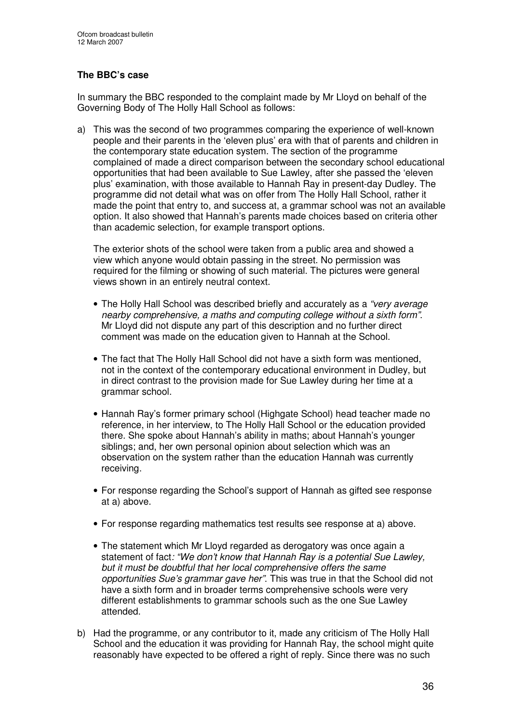#### **The BBC's case**

In summary the BBC responded to the complaint made by Mr Lloyd on behalf of the Governing Body of The Holly Hall School as follows:

a) This was the second of two programmes comparing the experience of well-known people and their parents in the 'eleven plus' era with that of parents and children in the contemporary state education system. The section of the programme complained of made a direct comparison between the secondary school educational opportunities that had been available to Sue Lawley, after she passed the 'eleven plus' examination, with those available to Hannah Ray in present-day Dudley. The programme did not detail what was on offer from The Holly Hall School, rather it made the point that entry to, and success at, a grammar school was not an available option. It also showed that Hannah's parents made choices based on criteria other than academic selection, for example transport options.

The exterior shots of the school were taken from a public area and showed a view which anyone would obtain passing in the street. No permission was required for the filming or showing of such material. The pictures were general views shown in an entirely neutral context.

- The Holly Hall School was described briefly and accurately as a *"very average nearby comprehensive, a maths and computing college without a sixth form"*. Mr Lloyd did not dispute any part of this description and no further direct comment was made on the education given to Hannah at the School.
- The fact that The Holly Hall School did not have a sixth form was mentioned, not in the context of the contemporary educational environment in Dudley, but in direct contrast to the provision made for Sue Lawley during her time at a grammar school.
- Hannah Ray's former primary school (Highgate School) head teacher made no reference, in her interview, to The Holly Hall School or the education provided there. She spoke about Hannah's ability in maths; about Hannah's younger siblings; and, her own personal opinion about selection which was an observation on the system rather than the education Hannah was currently receiving.
- For response regarding the School's support of Hannah as gifted see response at a) above.
- For response regarding mathematics test results see response at a) above.
- The statement which Mr Lloyd regarded as derogatory was once again a statement of fact*: "We don't know that Hannah Ray is a potential Sue Lawley, but it must be doubtful that her local comprehensive offers the same opportunities Sue's grammar gave her"*. This was true in that the School did not have a sixth form and in broader terms comprehensive schools were very different establishments to grammar schools such as the one Sue Lawley attended.
- b) Had the programme, or any contributor to it, made any criticism of The Holly Hall School and the education it was providing for Hannah Ray, the school might quite reasonably have expected to be offered a right of reply. Since there was no such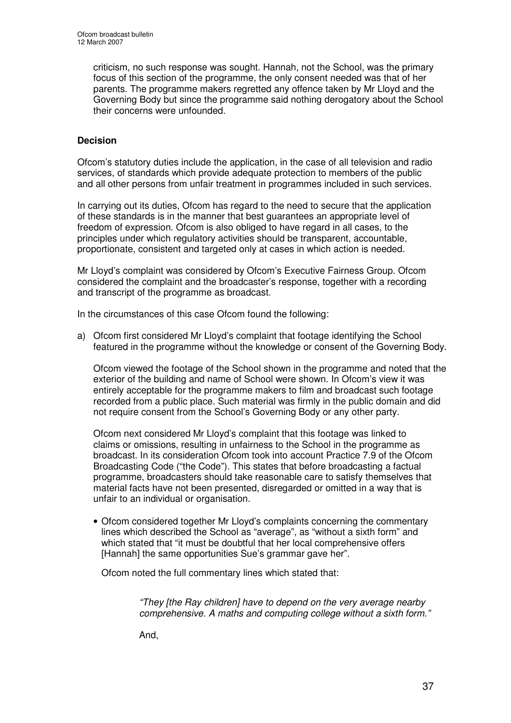criticism, no such response was sought. Hannah, not the School, was the primary focus of this section of the programme, the only consent needed was that of her parents. The programme makers regretted any offence taken by Mr Lloyd and the Governing Body but since the programme said nothing derogatory about the School their concerns were unfounded.

#### **Decision**

Ofcom's statutory duties include the application, in the case of all television and radio services, of standards which provide adequate protection to members of the public and all other persons from unfair treatment in programmes included in such services.

In carrying out its duties, Ofcom has regard to the need to secure that the application of these standards is in the manner that best guarantees an appropriate level of freedom of expression. Ofcom is also obliged to have regard in all cases, to the principles under which regulatory activities should be transparent, accountable, proportionate, consistent and targeted only at cases in which action is needed.

Mr Lloyd's complaint was considered by Ofcom's Executive Fairness Group. Ofcom considered the complaint and the broadcaster's response, together with a recording and transcript of the programme as broadcast.

In the circumstances of this case Ofcom found the following:

a) Ofcom first considered Mr Lloyd's complaint that footage identifying the School featured in the programme without the knowledge or consent of the Governing Body.

Ofcom viewed the footage of the School shown in the programme and noted that the exterior of the building and name of School were shown. In Ofcom's view it was entirely acceptable for the programme makers to film and broadcast such footage recorded from a public place. Such material was firmly in the public domain and did not require consent from the School's Governing Body or any other party.

Ofcom next considered Mr Lloyd's complaint that this footage was linked to claims or omissions, resulting in unfairness to the School in the programme as broadcast. In its consideration Ofcom took into account Practice 7.9 of the Ofcom Broadcasting Code ("the Code"). This states that before broadcasting a factual programme, broadcasters should take reasonable care to satisfy themselves that material facts have not been presented, disregarded or omitted in a way that is unfair to an individual or organisation.

• Ofcom considered together Mr Lloyd's complaints concerning the commentary lines which described the School as "average", as "without a sixth form" and which stated that "it must be doubtful that her local comprehensive offers [Hannah] the same opportunities Sue's grammar gave her".

Ofcom noted the full commentary lines which stated that:

*"They [the Ray children] have to depend on the very average nearby comprehensive. A maths and computing college without a sixth form."*

And,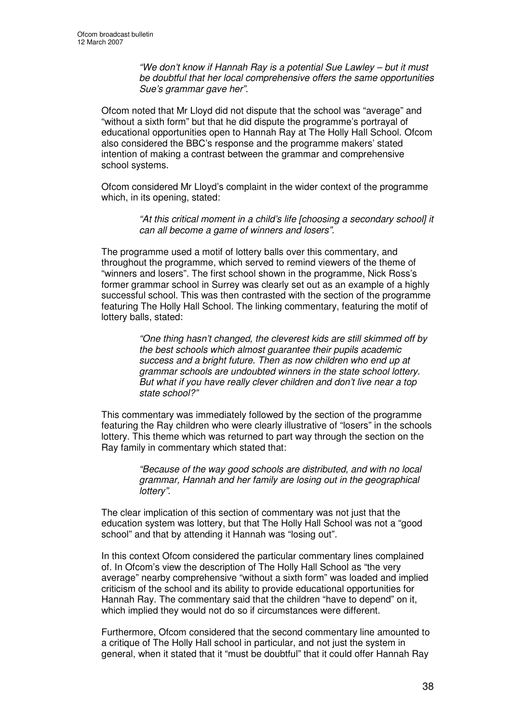*"We don't know if Hannah Ray is a potential Sue Lawley – but it must be doubtful that her local comprehensive offers the same opportunities Sue's grammar gave her".*

Ofcom noted that Mr Lloyd did not dispute that the school was "average" and "without a sixth form" but that he did dispute the programme's portrayal of educational opportunities open to Hannah Ray at The Holly Hall School. Ofcom also considered the BBC's response and the programme makers' stated intention of making a contrast between the grammar and comprehensive school systems.

Ofcom considered Mr Lloyd's complaint in the wider context of the programme which, in its opening, stated:

> *"At this critical moment in a child's life [choosing a secondary school] it can all become a game of winners and losers".*

The programme used a motif of lottery balls over this commentary, and throughout the programme, which served to remind viewers of the theme of "winners and losers". The first school shown in the programme, Nick Ross's former grammar school in Surrey was clearly set out as an example of a highly successful school. This was then contrasted with the section of the programme featuring The Holly Hall School. The linking commentary, featuring the motif of lottery balls, stated:

> *"One thing hasn't changed, the cleverest kids are still skimmed off by the best schools which almost guarantee their pupils academic success and a bright future. Then as now children who end up at grammar schools are undoubted winners in the state school lottery. But what if you have really clever children and don't live near a top state school?"*

This commentary was immediately followed by the section of the programme featuring the Ray children who were clearly illustrative of "losers" in the schools lottery. This theme which was returned to part way through the section on the Ray family in commentary which stated that:

> *"Because of the way good schools are distributed, and with no local grammar, Hannah and her family are losing out in the geographical lottery".*

The clear implication of this section of commentary was not just that the education system was lottery, but that The Holly Hall School was not a "good school" and that by attending it Hannah was "losing out".

In this context Ofcom considered the particular commentary lines complained of. In Ofcom's view the description of The Holly Hall School as "the very average" nearby comprehensive "without a sixth form" was loaded and implied criticism of the school and its ability to provide educational opportunities for Hannah Ray. The commentary said that the children "have to depend" on it, which implied they would not do so if circumstances were different.

Furthermore, Ofcom considered that the second commentary line amounted to a critique of The Holly Hall school in particular, and not just the system in general, when it stated that it "must be doubtful" that it could offer Hannah Ray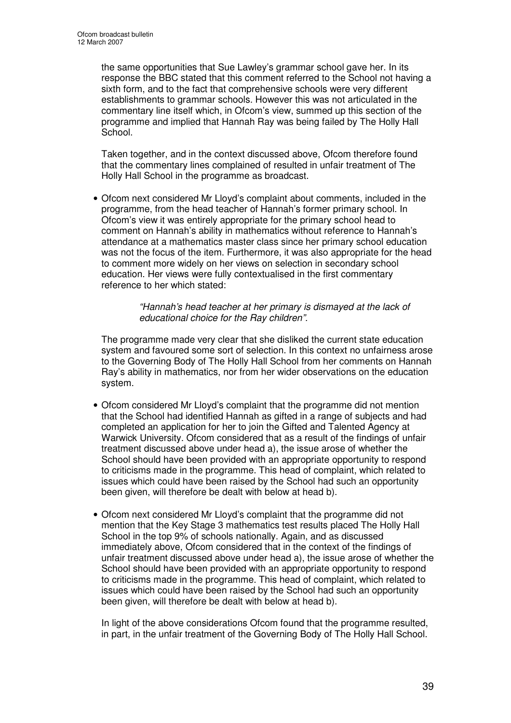the same opportunities that Sue Lawley's grammar school gave her. In its response the BBC stated that this comment referred to the School not having a sixth form, and to the fact that comprehensive schools were very different establishments to grammar schools. However this was not articulated in the commentary line itself which, in Ofcom's view, summed up this section of the programme and implied that Hannah Ray was being failed by The Holly Hall School.

Taken together, and in the context discussed above, Ofcom therefore found that the commentary lines complained of resulted in unfair treatment of The Holly Hall School in the programme as broadcast.

• Ofcom next considered Mr Lloyd's complaint about comments, included in the programme, from the head teacher of Hannah's former primary school. In Ofcom's view it was entirely appropriate for the primary school head to comment on Hannah's ability in mathematics without reference to Hannah's attendance at a mathematics master class since her primary school education was not the focus of the item. Furthermore, it was also appropriate for the head to comment more widely on her views on selection in secondary school education. Her views were fully contextualised in the first commentary reference to her which stated:

> *"Hannah's head teacher at her primary is dismayed at the lack of educational choice for the Ray children".*

The programme made very clear that she disliked the current state education system and favoured some sort of selection. In this context no unfairness arose to the Governing Body of The Holly Hall School from her comments on Hannah Ray's ability in mathematics, nor from her wider observations on the education system.

- Ofcom considered Mr Lloyd's complaint that the programme did not mention that the School had identified Hannah as gifted in a range of subjects and had completed an application for her to join the Gifted and Talented Agency at Warwick University. Ofcom considered that as a result of the findings of unfair treatment discussed above under head a), the issue arose of whether the School should have been provided with an appropriate opportunity to respond to criticisms made in the programme. This head of complaint, which related to issues which could have been raised by the School had such an opportunity been given, will therefore be dealt with below at head b).
- Ofcom next considered Mr Lloyd's complaint that the programme did not mention that the Key Stage 3 mathematics test results placed The Holly Hall School in the top 9% of schools nationally. Again, and as discussed immediately above, Ofcom considered that in the context of the findings of unfair treatment discussed above under head a), the issue arose of whether the School should have been provided with an appropriate opportunity to respond to criticisms made in the programme. This head of complaint, which related to issues which could have been raised by the School had such an opportunity been given, will therefore be dealt with below at head b).

In light of the above considerations Ofcom found that the programme resulted, in part, in the unfair treatment of the Governing Body of The Holly Hall School.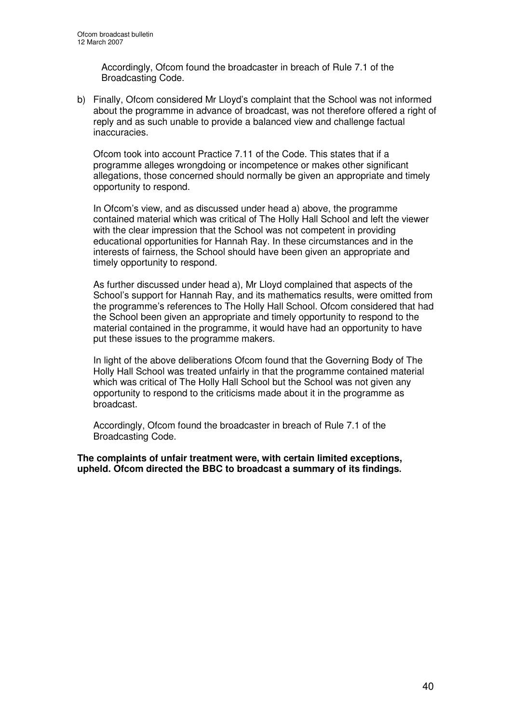Accordingly, Ofcom found the broadcaster in breach of Rule 7.1 of the Broadcasting Code.

b) Finally, Ofcom considered Mr Lloyd's complaint that the School was not informed about the programme in advance of broadcast, was not therefore offered a right of reply and as such unable to provide a balanced view and challenge factual inaccuracies.

Ofcom took into account Practice 7.11 of the Code. This states that if a programme alleges wrongdoing or incompetence or makes other significant allegations, those concerned should normally be given an appropriate and timely opportunity to respond.

In Ofcom's view, and as discussed under head a) above, the programme contained material which was critical of The Holly Hall School and left the viewer with the clear impression that the School was not competent in providing educational opportunities for Hannah Ray. In these circumstances and in the interests of fairness, the School should have been given an appropriate and timely opportunity to respond.

As further discussed under head a), Mr Lloyd complained that aspects of the School's support for Hannah Ray, and its mathematics results, were omitted from the programme's references to The Holly Hall School. Ofcom considered that had the School been given an appropriate and timely opportunity to respond to the material contained in the programme, it would have had an opportunity to have put these issues to the programme makers.

In light of the above deliberations Ofcom found that the Governing Body of The Holly Hall School was treated unfairly in that the programme contained material which was critical of The Holly Hall School but the School was not given any opportunity to respond to the criticisms made about it in the programme as broadcast.

Accordingly, Ofcom found the broadcaster in breach of Rule 7.1 of the Broadcasting Code.

**The complaints of unfair treatment were, with certain limited exceptions, upheld. Ofcom directed the BBC to broadcast a summary of its findings.**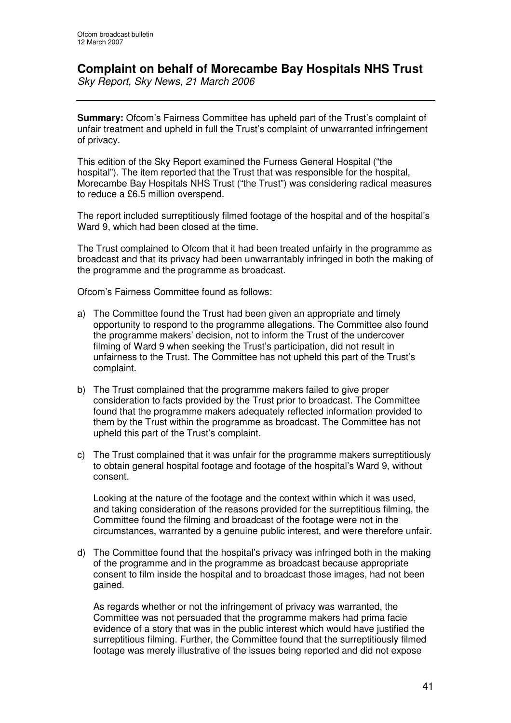## **Complaint on behalf of Morecambe Bay Hospitals NHS Trust**

*Sky Report, Sky News, 21 March 2006*

**Summary:** Ofcom's Fairness Committee has upheld part of the Trust's complaint of unfair treatment and upheld in full the Trust's complaint of unwarranted infringement of privacy.

This edition of the Sky Report examined the Furness General Hospital ("the hospital"). The item reported that the Trust that was responsible for the hospital, Morecambe Bay Hospitals NHS Trust ("the Trust") was considering radical measures to reduce a £6.5 million overspend.

The report included surreptitiously filmed footage of the hospital and of the hospital's Ward 9, which had been closed at the time.

The Trust complained to Ofcom that it had been treated unfairly in the programme as broadcast and that its privacy had been unwarrantably infringed in both the making of the programme and the programme as broadcast.

Ofcom's Fairness Committee found as follows:

- a) The Committee found the Trust had been given an appropriate and timely opportunity to respond to the programme allegations. The Committee also found the programme makers' decision, not to inform the Trust of the undercover filming of Ward 9 when seeking the Trust's participation, did not result in unfairness to the Trust. The Committee has not upheld this part of the Trust's complaint.
- b) The Trust complained that the programme makers failed to give proper consideration to facts provided by the Trust prior to broadcast. The Committee found that the programme makers adequately reflected information provided to them by the Trust within the programme as broadcast. The Committee has not upheld this part of the Trust's complaint.
- c) The Trust complained that it was unfair for the programme makers surreptitiously to obtain general hospital footage and footage of the hospital's Ward 9, without consent.

Looking at the nature of the footage and the context within which it was used, and taking consideration of the reasons provided for the surreptitious filming, the Committee found the filming and broadcast of the footage were not in the circumstances, warranted by a genuine public interest, and were therefore unfair.

d) The Committee found that the hospital's privacy was infringed both in the making of the programme and in the programme as broadcast because appropriate consent to film inside the hospital and to broadcast those images, had not been gained.

As regards whether or not the infringement of privacy was warranted, the Committee was not persuaded that the programme makers had prima facie evidence of a story that was in the public interest which would have justified the surreptitious filming. Further, the Committee found that the surreptitiously filmed footage was merely illustrative of the issues being reported and did not expose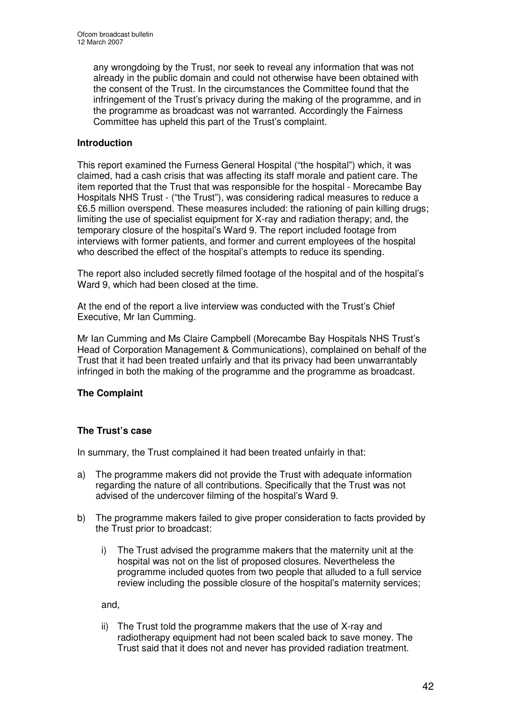any wrongdoing by the Trust, nor seek to reveal any information that was not already in the public domain and could not otherwise have been obtained with the consent of the Trust. In the circumstances the Committee found that the infringement of the Trust's privacy during the making of the programme, and in the programme as broadcast was not warranted. Accordingly the Fairness Committee has upheld this part of the Trust's complaint.

#### **Introduction**

This report examined the Furness General Hospital ("the hospital") which, it was claimed, had a cash crisis that was affecting its staff morale and patient care. The item reported that the Trust that was responsible for the hospital - Morecambe Bay Hospitals NHS Trust - ("the Trust"), was considering radical measures to reduce a £6.5 million overspend. These measures included: the rationing of pain killing drugs; limiting the use of specialist equipment for X-ray and radiation therapy; and, the temporary closure of the hospital's Ward 9. The report included footage from interviews with former patients, and former and current employees of the hospital who described the effect of the hospital's attempts to reduce its spending.

The report also included secretly filmed footage of the hospital and of the hospital's Ward 9, which had been closed at the time.

At the end of the report a live interview was conducted with the Trust's Chief Executive, Mr Ian Cumming.

Mr Ian Cumming and Ms Claire Campbell (Morecambe Bay Hospitals NHS Trust's Head of Corporation Management & Communications), complained on behalf of the Trust that it had been treated unfairly and that its privacy had been unwarrantably infringed in both the making of the programme and the programme as broadcast.

#### **The Complaint**

#### **The Trust's case**

In summary, the Trust complained it had been treated unfairly in that:

- a) The programme makers did not provide the Trust with adequate information regarding the nature of all contributions. Specifically that the Trust was not advised of the undercover filming of the hospital's Ward 9.
- b) The programme makers failed to give proper consideration to facts provided by the Trust prior to broadcast:
	- i) The Trust advised the programme makers that the maternity unit at the hospital was not on the list of proposed closures. Nevertheless the programme included quotes from two people that alluded to a full service review including the possible closure of the hospital's maternity services;

and,

ii) The Trust told the programme makers that the use of X-ray and radiotherapy equipment had not been scaled back to save money. The Trust said that it does not and never has provided radiation treatment.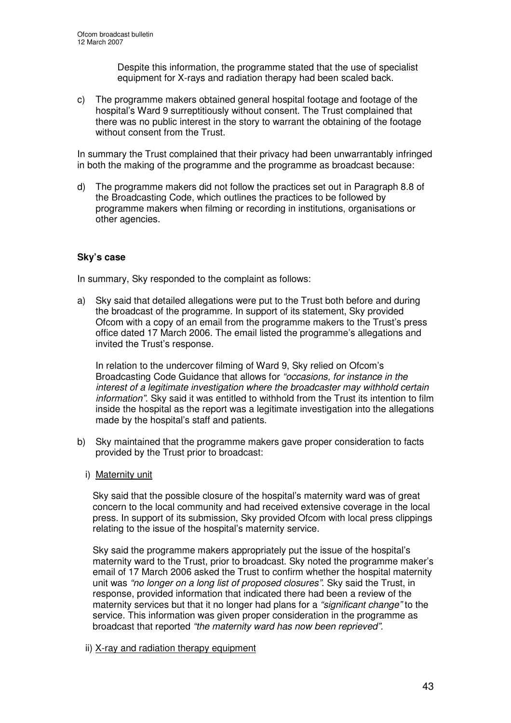Despite this information, the programme stated that the use of specialist equipment for X-rays and radiation therapy had been scaled back.

c) The programme makers obtained general hospital footage and footage of the hospital's Ward 9 surreptitiously without consent. The Trust complained that there was no public interest in the story to warrant the obtaining of the footage without consent from the Trust.

In summary the Trust complained that their privacy had been unwarrantably infringed in both the making of the programme and the programme as broadcast because:

d) The programme makers did not follow the practices set out in Paragraph 8.8 of the Broadcasting Code, which outlines the practices to be followed by programme makers when filming or recording in institutions, organisations or other agencies.

#### **Sky's case**

In summary, Sky responded to the complaint as follows:

a) Sky said that detailed allegations were put to the Trust both before and during the broadcast of the programme. In support of its statement, Sky provided Ofcom with a copy of an email from the programme makers to the Trust's press office dated 17 March 2006. The email listed the programme's allegations and invited the Trust's response.

In relation to the undercover filming of Ward 9, Sky relied on Ofcom's Broadcasting Code Guidance that allows for *"occasions, for instance in the interest of a legitimate investigation where the broadcaster may withhold certain information"*. Sky said it was entitled to withhold from the Trust its intention to film inside the hospital as the report was a legitimate investigation into the allegations made by the hospital's staff and patients.

- b) Sky maintained that the programme makers gave proper consideration to facts provided by the Trust prior to broadcast:
	- i) Maternity unit

Sky said that the possible closure of the hospital's maternity ward was of great concern to the local community and had received extensive coverage in the local press. In support of its submission, Sky provided Ofcom with local press clippings relating to the issue of the hospital's maternity service.

Sky said the programme makers appropriately put the issue of the hospital's maternity ward to the Trust, prior to broadcast. Sky noted the programme maker's email of 17 March 2006 asked the Trust to confirm whether the hospital maternity unit was *"no longer on a long list of proposed closures"*. Sky said the Trust, in response, provided information that indicated there had been a review of the maternity services but that it no longer had plans for a *"significant change"* to the service. This information was given proper consideration in the programme as broadcast that reported *"the maternity ward has now been reprieved".*

ii) X-ray and radiation therapy equipment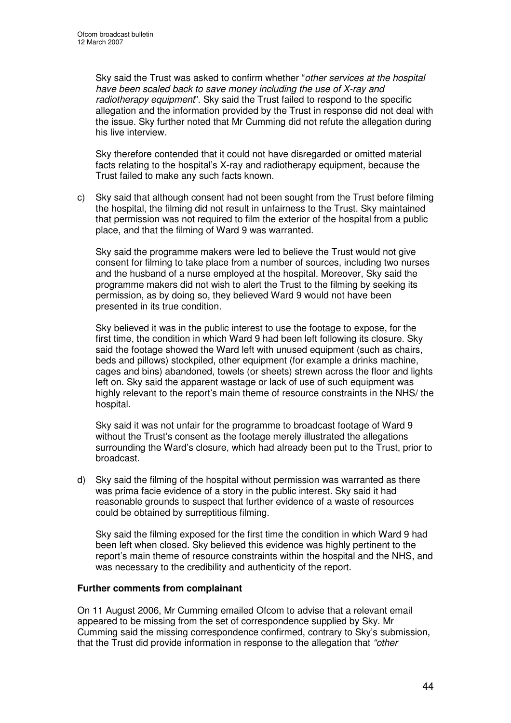Sky said the Trust was asked to confirm whether "*other services at the hospital have been scaled back to save money including the use of X-ray and radiotherapy equipment*". Sky said the Trust failed to respond to the specific allegation and the information provided by the Trust in response did not deal with the issue. Sky further noted that Mr Cumming did not refute the allegation during his live interview.

Sky therefore contended that it could not have disregarded or omitted material facts relating to the hospital's X-ray and radiotherapy equipment, because the Trust failed to make any such facts known.

c) Sky said that although consent had not been sought from the Trust before filming the hospital, the filming did not result in unfairness to the Trust. Sky maintained that permission was not required to film the exterior of the hospital from a public place, and that the filming of Ward 9 was warranted.

Sky said the programme makers were led to believe the Trust would not give consent for filming to take place from a number of sources, including two nurses and the husband of a nurse employed at the hospital. Moreover, Sky said the programme makers did not wish to alert the Trust to the filming by seeking its permission, as by doing so, they believed Ward 9 would not have been presented in its true condition.

Sky believed it was in the public interest to use the footage to expose, for the first time, the condition in which Ward 9 had been left following its closure. Sky said the footage showed the Ward left with unused equipment (such as chairs, beds and pillows) stockpiled, other equipment (for example a drinks machine, cages and bins) abandoned, towels (or sheets) strewn across the floor and lights left on. Sky said the apparent wastage or lack of use of such equipment was highly relevant to the report's main theme of resource constraints in the NHS/ the hospital.

Sky said it was not unfair for the programme to broadcast footage of Ward 9 without the Trust's consent as the footage merely illustrated the allegations surrounding the Ward's closure, which had already been put to the Trust, prior to broadcast.

d) Sky said the filming of the hospital without permission was warranted as there was prima facie evidence of a story in the public interest. Sky said it had reasonable grounds to suspect that further evidence of a waste of resources could be obtained by surreptitious filming.

Sky said the filming exposed for the first time the condition in which Ward 9 had been left when closed. Sky believed this evidence was highly pertinent to the report's main theme of resource constraints within the hospital and the NHS, and was necessary to the credibility and authenticity of the report.

#### **Further comments from complainant**

On 11 August 2006, Mr Cumming emailed Ofcom to advise that a relevant email appeared to be missing from the set of correspondence supplied by Sky. Mr Cumming said the missing correspondence confirmed, contrary to Sky's submission, that the Trust did provide information in response to the allegation that *"other*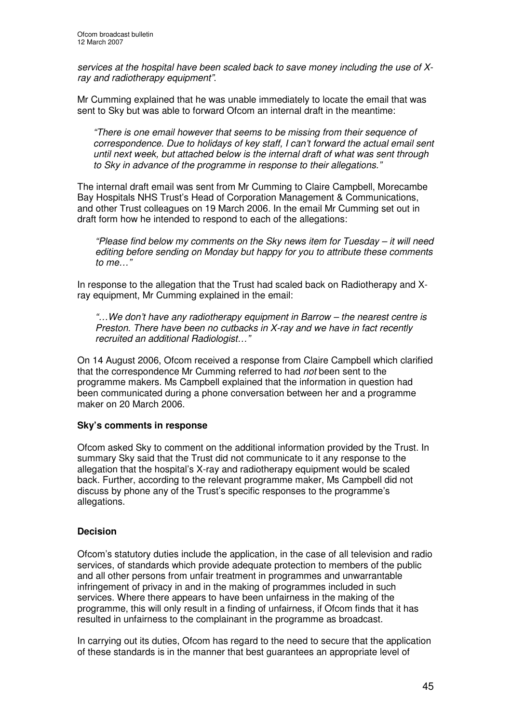*services at the hospital have been scaled back to save money including the use of Xray and radiotherapy equipment"*.

Mr Cumming explained that he was unable immediately to locate the email that was sent to Sky but was able to forward Ofcom an internal draft in the meantime:

*"There is one email however that seems to be missing from their sequence of correspondence. Due to holidays of key staff, I can't forward the actual email sent until next week, but attached below is the internal draft of what was sent through to Sky in advance of the programme in response to their allegations."*

The internal draft email was sent from Mr Cumming to Claire Campbell, Morecambe Bay Hospitals NHS Trust's Head of Corporation Management & Communications, and other Trust colleagues on 19 March 2006. In the email Mr Cumming set out in draft form how he intended to respond to each of the allegations:

*"Please find below my comments on the Sky news item for Tuesday – it will need editing before sending on Monday but happy for you to attribute these comments to me…"*

In response to the allegation that the Trust had scaled back on Radiotherapy and Xray equipment, Mr Cumming explained in the email:

*"…We don't have any radiotherapy equipment in Barrow – the nearest centre is Preston. There have been no cutbacks in X-ray and we have in fact recently recruited an additional Radiologist…"*

On 14 August 2006, Ofcom received a response from Claire Campbell which clarified that the correspondence Mr Cumming referred to had *not* been sent to the programme makers. Ms Campbell explained that the information in question had been communicated during a phone conversation between her and a programme maker on 20 March 2006.

#### **Sky's comments in response**

Ofcom asked Sky to comment on the additional information provided by the Trust. In summary Sky said that the Trust did not communicate to it any response to the allegation that the hospital's X-ray and radiotherapy equipment would be scaled back. Further, according to the relevant programme maker, Ms Campbell did not discuss by phone any of the Trust's specific responses to the programme's allegations.

#### **Decision**

Ofcom's statutory duties include the application, in the case of all television and radio services, of standards which provide adequate protection to members of the public and all other persons from unfair treatment in programmes and unwarrantable infringement of privacy in and in the making of programmes included in such services. Where there appears to have been unfairness in the making of the programme, this will only result in a finding of unfairness, if Ofcom finds that it has resulted in unfairness to the complainant in the programme as broadcast.

In carrying out its duties, Ofcom has regard to the need to secure that the application of these standards is in the manner that best guarantees an appropriate level of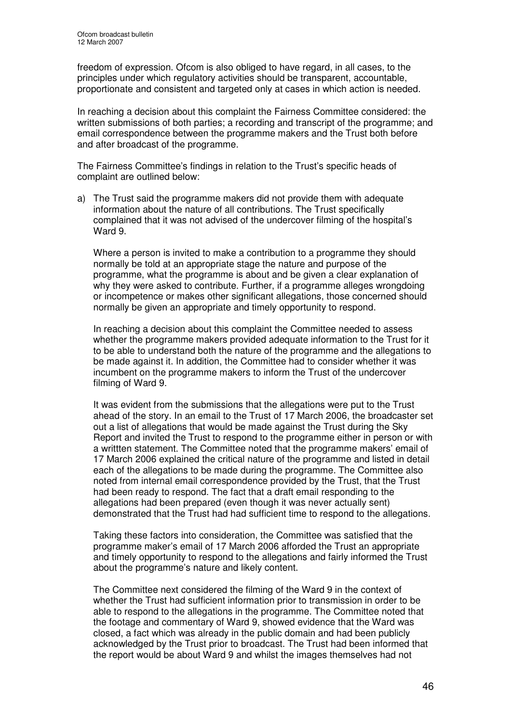freedom of expression. Ofcom is also obliged to have regard, in all cases, to the principles under which regulatory activities should be transparent, accountable, proportionate and consistent and targeted only at cases in which action is needed.

In reaching a decision about this complaint the Fairness Committee considered: the written submissions of both parties; a recording and transcript of the programme; and email correspondence between the programme makers and the Trust both before and after broadcast of the programme.

The Fairness Committee's findings in relation to the Trust's specific heads of complaint are outlined below:

a) The Trust said the programme makers did not provide them with adequate information about the nature of all contributions. The Trust specifically complained that it was not advised of the undercover filming of the hospital's Ward 9.

Where a person is invited to make a contribution to a programme they should normally be told at an appropriate stage the nature and purpose of the programme, what the programme is about and be given a clear explanation of why they were asked to contribute. Further, if a programme alleges wrongdoing or incompetence or makes other significant allegations, those concerned should normally be given an appropriate and timely opportunity to respond.

In reaching a decision about this complaint the Committee needed to assess whether the programme makers provided adequate information to the Trust for it to be able to understand both the nature of the programme and the allegations to be made against it. In addition, the Committee had to consider whether it was incumbent on the programme makers to inform the Trust of the undercover filming of Ward 9.

It was evident from the submissions that the allegations were put to the Trust ahead of the story. In an email to the Trust of 17 March 2006, the broadcaster set out a list of allegations that would be made against the Trust during the Sky Report and invited the Trust to respond to the programme either in person or with a writtten statement. The Committee noted that the programme makers' email of 17 March 2006 explained the critical nature of the programme and listed in detail each of the allegations to be made during the programme. The Committee also noted from internal email correspondence provided by the Trust, that the Trust had been ready to respond. The fact that a draft email responding to the allegations had been prepared (even though it was never actually sent) demonstrated that the Trust had had sufficient time to respond to the allegations.

Taking these factors into consideration, the Committee was satisfied that the programme maker's email of 17 March 2006 afforded the Trust an appropriate and timely opportunity to respond to the allegations and fairly informed the Trust about the programme's nature and likely content.

The Committee next considered the filming of the Ward 9 in the context of whether the Trust had sufficient information prior to transmission in order to be able to respond to the allegations in the programme. The Committee noted that the footage and commentary of Ward 9, showed evidence that the Ward was closed, a fact which was already in the public domain and had been publicly acknowledged by the Trust prior to broadcast. The Trust had been informed that the report would be about Ward 9 and whilst the images themselves had not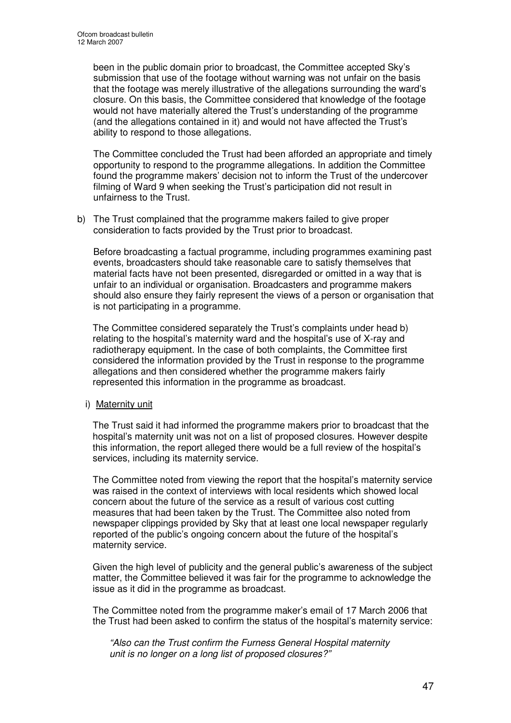been in the public domain prior to broadcast, the Committee accepted Sky's submission that use of the footage without warning was not unfair on the basis that the footage was merely illustrative of the allegations surrounding the ward's closure. On this basis, the Committee considered that knowledge of the footage would not have materially altered the Trust's understanding of the programme (and the allegations contained in it) and would not have affected the Trust's ability to respond to those allegations.

The Committee concluded the Trust had been afforded an appropriate and timely opportunity to respond to the programme allegations. In addition the Committee found the programme makers' decision not to inform the Trust of the undercover filming of Ward 9 when seeking the Trust's participation did not result in unfairness to the Trust.

b) The Trust complained that the programme makers failed to give proper consideration to facts provided by the Trust prior to broadcast.

Before broadcasting a factual programme, including programmes examining past events, broadcasters should take reasonable care to satisfy themselves that material facts have not been presented, disregarded or omitted in a way that is unfair to an individual or organisation. Broadcasters and programme makers should also ensure they fairly represent the views of a person or organisation that is not participating in a programme.

The Committee considered separately the Trust's complaints under head b) relating to the hospital's maternity ward and the hospital's use of X-ray and radiotherapy equipment. In the case of both complaints, the Committee first considered the information provided by the Trust in response to the programme allegations and then considered whether the programme makers fairly represented this information in the programme as broadcast.

#### i) Maternity unit

The Trust said it had informed the programme makers prior to broadcast that the hospital's maternity unit was not on a list of proposed closures. However despite this information, the report alleged there would be a full review of the hospital's services, including its maternity service.

The Committee noted from viewing the report that the hospital's maternity service was raised in the context of interviews with local residents which showed local concern about the future of the service as a result of various cost cutting measures that had been taken by the Trust. The Committee also noted from newspaper clippings provided by Sky that at least one local newspaper regularly reported of the public's ongoing concern about the future of the hospital's maternity service.

Given the high level of publicity and the general public's awareness of the subject matter, the Committee believed it was fair for the programme to acknowledge the issue as it did in the programme as broadcast.

The Committee noted from the programme maker's email of 17 March 2006 that the Trust had been asked to confirm the status of the hospital's maternity service:

*"Also can the Trust confirm the Furness General Hospital maternity unit is no longer on a long list of proposed closures?"*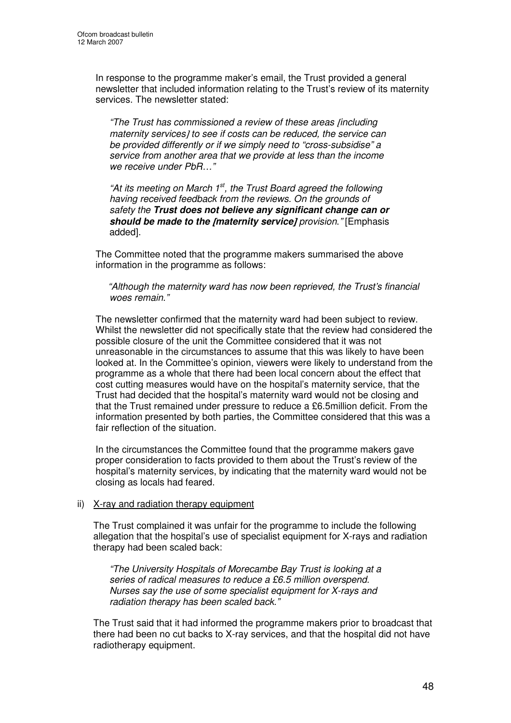In response to the programme maker's email, the Trust provided a general newsletter that included information relating to the Trust's review of its maternity services. The newsletter stated:

*"The Trust has commissioned a review of these areas* [*including maternity services*] *to see if costs can be reduced, the service can be provided differently or if we simply need to "cross-subsidise" a service from another area that we provide at less than the income we receive under PbR…"*

*"At its meeting on March 1 st , the Trust Board agreed the following having received feedback from the reviews. On the grounds of safety the Trust does not believe any significant change can or should be made to the* [*maternity service*] *provision*.*"* [Emphasis added].

The Committee noted that the programme makers summarised the above information in the programme as follows:

*"Although the maternity ward has now been reprieved, the Trust's financial woes remain."*

The newsletter confirmed that the maternity ward had been subject to review. Whilst the newsletter did not specifically state that the review had considered the possible closure of the unit the Committee considered that it was not unreasonable in the circumstances to assume that this was likely to have been looked at. In the Committee's opinion, viewers were likely to understand from the programme as a whole that there had been local concern about the effect that cost cutting measures would have on the hospital's maternity service, that the Trust had decided that the hospital's maternity ward would not be closing and that the Trust remained under pressure to reduce a £6.5million deficit. From the information presented by both parties, the Committee considered that this was a fair reflection of the situation.

In the circumstances the Committee found that the programme makers gave proper consideration to facts provided to them about the Trust's review of the hospital's maternity services, by indicating that the maternity ward would not be closing as locals had feared.

#### ii) X-ray and radiation therapy equipment

The Trust complained it was unfair for the programme to include the following allegation that the hospital's use of specialist equipment for X-rays and radiation therapy had been scaled back:

*"The University Hospitals of Morecambe Bay Trust is looking at a series of radical measures to reduce a £6.5 million overspend. Nurses say the use of some specialist equipment for X-rays and radiation therapy has been scaled back."*

The Trust said that it had informed the programme makers prior to broadcast that there had been no cut backs to X-ray services, and that the hospital did not have radiotherapy equipment.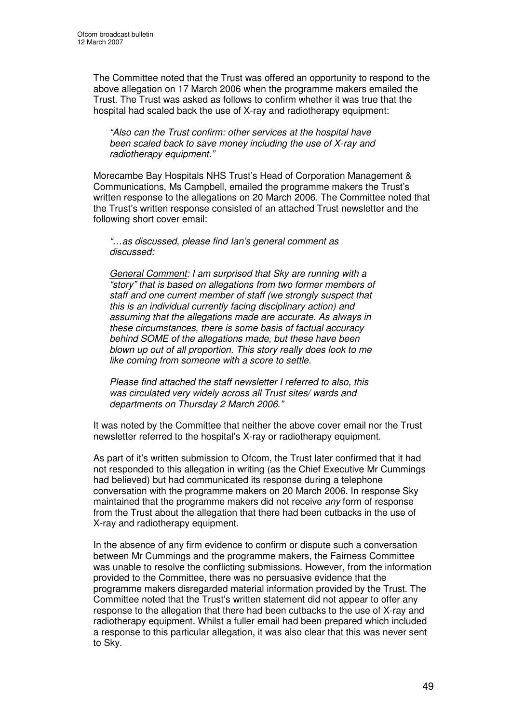The Committee noted that the Trust was offered an opportunity to respond to the above allegation on 17 March 2006 when the programme makers emailed the Trust. The Trust was asked as follows to confirm whether it was true that the hospital had scaled back the use of X-ray and radiotherapy equipment:

*"Also can the Trust confirm: other services at the hospital have been scaled back to save money including the use of X-ray and radiotherapy equipment."*

Morecambe Bay Hospitals NHS Trust's Head of Corporation Management & Communications, Ms Campbell, emailed the programme makers the Trust's written response to the allegations on 20 March 2006. The Committee noted that the Trust's written response consisted of an attached Trust newsletter and the following short cover email:

*"*…*as discussed*, *please find Ian's general comment as discussed:*

*General Comment: I am surprised that Sky are running with a "story" that is based on allegations from two former members of staff and one current member of staff (we strongly suspect that this is an individual currently facing disciplinary action) and assuming that the allegations made are accurate. As always in these circumstances, there is some basis of factual accuracy behind SOME of the allegations made, but these have been blown up out of all proportion. This story really does look to me like coming from someone with a score to settle.*

*Please find attached the staff newsletter I referred to also, this was circulated very widely across all Trust sites/ wards and departments on Thursday 2 March 2006."*

It was noted by the Committee that neither the above cover email nor the Trust newsletter referred to the hospital's X-ray or radiotherapy equipment.

As part of it's written submission to Ofcom, the Trust later confirmed that it had not responded to this allegation in writing (as the Chief Executive Mr Cummings had believed) but had communicated its response during a telephone conversation with the programme makers on 20 March 2006. In response Sky maintained that the programme makers did not receive *any* form of response from the Trust about the allegation that there had been cutbacks in the use of X-ray and radiotherapy equipment.

In the absence of any firm evidence to confirm or dispute such a conversation between Mr Cummings and the programme makers, the Fairness Committee was unable to resolve the conflicting submissions. However, from the information provided to the Committee, there was no persuasive evidence that the programme makers disregarded material information provided by the Trust. The Committee noted that the Trust's written statement did not appear to offer any response to the allegation that there had been cutbacks to the use of X-ray and radiotherapy equipment. Whilst a fuller email had been prepared which included a response to this particular allegation, it was also clear that this was never sent to Sky.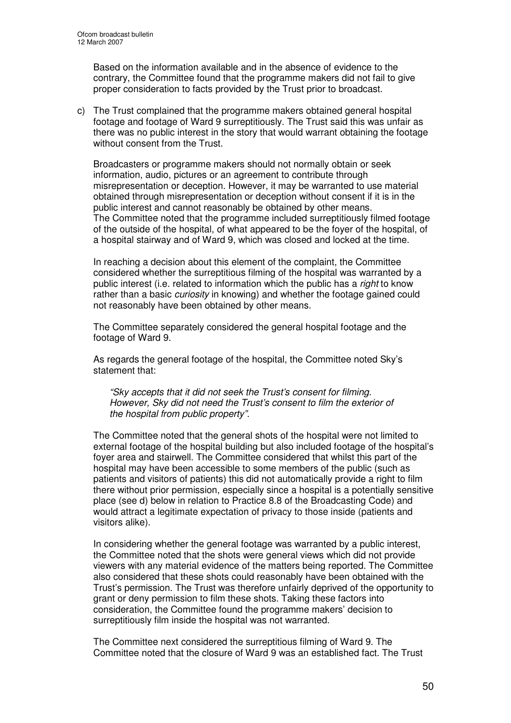Based on the information available and in the absence of evidence to the contrary, the Committee found that the programme makers did not fail to give proper consideration to facts provided by the Trust prior to broadcast.

c) The Trust complained that the programme makers obtained general hospital footage and footage of Ward 9 surreptitiously. The Trust said this was unfair as there was no public interest in the story that would warrant obtaining the footage without consent from the Trust.

Broadcasters or programme makers should not normally obtain or seek information, audio, pictures or an agreement to contribute through misrepresentation or deception. However, it may be warranted to use material obtained through misrepresentation or deception without consent if it is in the public interest and cannot reasonably be obtained by other means. The Committee noted that the programme included surreptitiously filmed footage of the outside of the hospital, of what appeared to be the foyer of the hospital, of a hospital stairway and of Ward 9, which was closed and locked at the time.

In reaching a decision about this element of the complaint, the Committee considered whether the surreptitious filming of the hospital was warranted by a public interest (i.e. related to information which the public has a *right* to know rather than a basic *curiosity* in knowing) and whether the footage gained could not reasonably have been obtained by other means.

The Committee separately considered the general hospital footage and the footage of Ward 9.

As regards the general footage of the hospital, the Committee noted Sky's statement that:

*"Sky accepts that it did not seek the Trust's consent for filming. However, Sky did not need the Trust's consent to film the exterior of the hospital from public property".*

The Committee noted that the general shots of the hospital were not limited to external footage of the hospital building but also included footage of the hospital's foyer area and stairwell. The Committee considered that whilst this part of the hospital may have been accessible to some members of the public (such as patients and visitors of patients) this did not automatically provide a right to film there without prior permission, especially since a hospital is a potentially sensitive place (see d) below in relation to Practice 8.8 of the Broadcasting Code) and would attract a legitimate expectation of privacy to those inside (patients and visitors alike).

In considering whether the general footage was warranted by a public interest, the Committee noted that the shots were general views which did not provide viewers with any material evidence of the matters being reported. The Committee also considered that these shots could reasonably have been obtained with the Trust's permission. The Trust was therefore unfairly deprived of the opportunity to grant or deny permission to film these shots. Taking these factors into consideration, the Committee found the programme makers' decision to surreptitiously film inside the hospital was not warranted.

The Committee next considered the surreptitious filming of Ward 9. The Committee noted that the closure of Ward 9 was an established fact. The Trust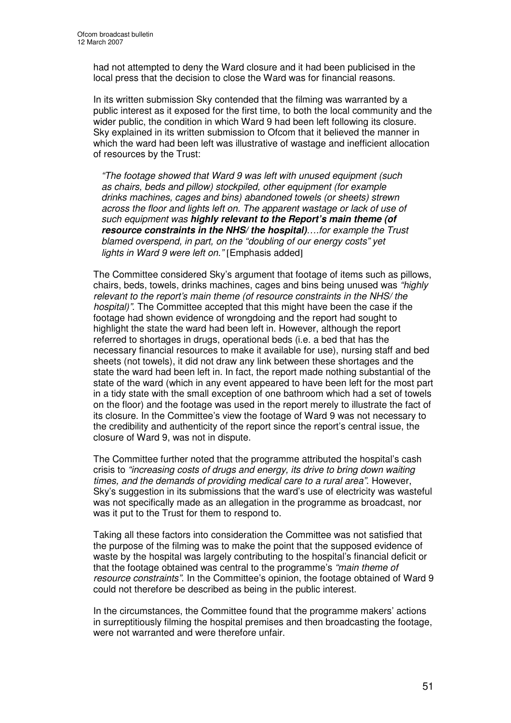had not attempted to deny the Ward closure and it had been publicised in the local press that the decision to close the Ward was for financial reasons.

In its written submission Sky contended that the filming was warranted by a public interest as it exposed for the first time, to both the local community and the wider public, the condition in which Ward 9 had been left following its closure. Sky explained in its written submission to Ofcom that it believed the manner in which the ward had been left was illustrative of wastage and inefficient allocation of resources by the Trust:

*"The footage showed that Ward 9 was left with unused equipment (such as chairs, beds and pillow) stockpiled, other equipment (for example drinks machines, cages and bins) abandoned towels (or sheets) strewn across the floor and lights left on. The apparent wastage or lack of use of such equipment was highly relevant to the Report's main theme (of resource constraints in the NHS/ the hospital)….for example the Trust blamed overspend, in part, on the "doubling of our energy costs" yet lights in Ward 9 were left on."* [Emphasis added]

The Committee considered Sky's argument that footage of items such as pillows, chairs, beds, towels, drinks machines, cages and bins being unused was *"highly relevant to the report's main theme (of resource constraints in the NHS/ the hospital)"*. The Committee accepted that this might have been the case if the footage had shown evidence of wrongdoing and the report had sought to highlight the state the ward had been left in. However, although the report referred to shortages in drugs, operational beds (i.e. a bed that has the necessary financial resources to make it available for use), nursing staff and bed sheets (not towels), it did not draw any link between these shortages and the state the ward had been left in. In fact, the report made nothing substantial of the state of the ward (which in any event appeared to have been left for the most part in a tidy state with the small exception of one bathroom which had a set of towels on the floor) and the footage was used in the report merely to illustrate the fact of its closure. In the Committee's view the footage of Ward 9 was not necessary to the credibility and authenticity of the report since the report's central issue, the closure of Ward 9, was not in dispute.

The Committee further noted that the programme attributed the hospital's cash crisis to *"increasing costs of drugs and energy, its drive to bring down waiting times, and the demands of providing medical care to a rural area"*. However, Sky's suggestion in its submissions that the ward's use of electricity was wasteful was not specifically made as an allegation in the programme as broadcast, nor was it put to the Trust for them to respond to.

Taking all these factors into consideration the Committee was not satisfied that the purpose of the filming was to make the point that the supposed evidence of waste by the hospital was largely contributing to the hospital's financial deficit or that the footage obtained was central to the programme's *"main theme of resource constraints"*. In the Committee's opinion, the footage obtained of Ward 9 could not therefore be described as being in the public interest.

In the circumstances, the Committee found that the programme makers' actions in surreptitiously filming the hospital premises and then broadcasting the footage, were not warranted and were therefore unfair.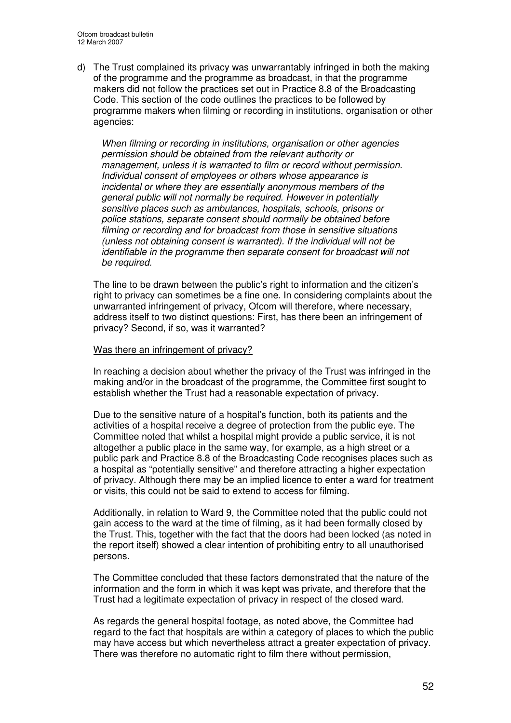d) The Trust complained its privacy was unwarrantably infringed in both the making of the programme and the programme as broadcast, in that the programme makers did not follow the practices set out in Practice 8.8 of the Broadcasting Code. This section of the code outlines the practices to be followed by programme makers when filming or recording in institutions, organisation or other agencies:

*When filming or recording in institutions, organisation or other agencies permission should be obtained from the relevant authority or management, unless it is warranted to film or record without permission. Individual consent of employees or others whose appearance is incidental or where they are essentially anonymous members of the general public will not normally be required. However in potentially sensitive places such as ambulances, hospitals, schools, prisons or police stations, separate consent should normally be obtained before filming or recording and for broadcast from those in sensitive situations (unless not obtaining consent is warranted). If the individual will not be identifiable in the programme then separate consent for broadcast will not be required.*

The line to be drawn between the public's right to information and the citizen's right to privacy can sometimes be a fine one. In considering complaints about the unwarranted infringement of privacy, Ofcom will therefore, where necessary, address itself to two distinct questions: First, has there been an infringement of privacy? Second, if so, was it warranted?

#### Was there an infringement of privacy?

In reaching a decision about whether the privacy of the Trust was infringed in the making and/or in the broadcast of the programme, the Committee first sought to establish whether the Trust had a reasonable expectation of privacy.

Due to the sensitive nature of a hospital's function, both its patients and the activities of a hospital receive a degree of protection from the public eye. The Committee noted that whilst a hospital might provide a public service, it is not altogether a public place in the same way, for example, as a high street or a public park and Practice 8.8 of the Broadcasting Code recognises places such as a hospital as "potentially sensitive" and therefore attracting a higher expectation of privacy. Although there may be an implied licence to enter a ward for treatment or visits, this could not be said to extend to access for filming.

Additionally, in relation to Ward 9, the Committee noted that the public could not gain access to the ward at the time of filming, as it had been formally closed by the Trust. This, together with the fact that the doors had been locked (as noted in the report itself) showed a clear intention of prohibiting entry to all unauthorised persons.

The Committee concluded that these factors demonstrated that the nature of the information and the form in which it was kept was private, and therefore that the Trust had a legitimate expectation of privacy in respect of the closed ward.

As regards the general hospital footage, as noted above, the Committee had regard to the fact that hospitals are within a category of places to which the public may have access but which nevertheless attract a greater expectation of privacy. There was therefore no automatic right to film there without permission,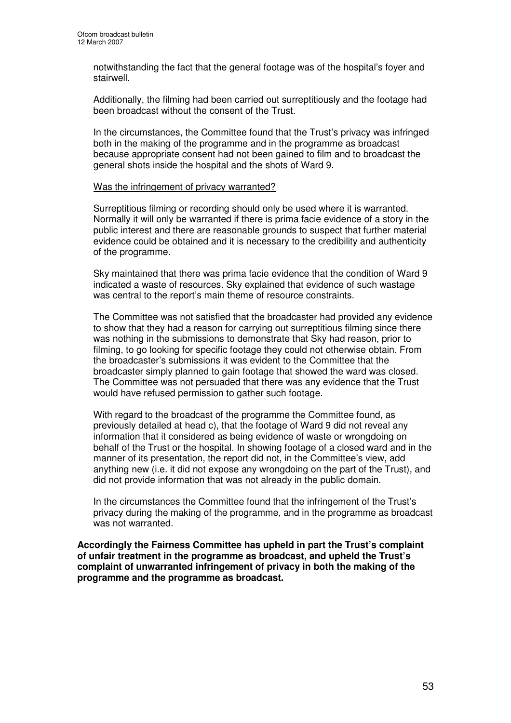notwithstanding the fact that the general footage was of the hospital's foyer and stairwell.

Additionally, the filming had been carried out surreptitiously and the footage had been broadcast without the consent of the Trust.

In the circumstances, the Committee found that the Trust's privacy was infringed both in the making of the programme and in the programme as broadcast because appropriate consent had not been gained to film and to broadcast the general shots inside the hospital and the shots of Ward 9.

#### Was the infringement of privacy warranted?

Surreptitious filming or recording should only be used where it is warranted. Normally it will only be warranted if there is prima facie evidence of a story in the public interest and there are reasonable grounds to suspect that further material evidence could be obtained and it is necessary to the credibility and authenticity of the programme.

Sky maintained that there was prima facie evidence that the condition of Ward 9 indicated a waste of resources. Sky explained that evidence of such wastage was central to the report's main theme of resource constraints.

The Committee was not satisfied that the broadcaster had provided any evidence to show that they had a reason for carrying out surreptitious filming since there was nothing in the submissions to demonstrate that Sky had reason, prior to filming, to go looking for specific footage they could not otherwise obtain. From the broadcaster's submissions it was evident to the Committee that the broadcaster simply planned to gain footage that showed the ward was closed. The Committee was not persuaded that there was any evidence that the Trust would have refused permission to gather such footage.

With regard to the broadcast of the programme the Committee found, as previously detailed at head c), that the footage of Ward 9 did not reveal any information that it considered as being evidence of waste or wrongdoing on behalf of the Trust or the hospital. In showing footage of a closed ward and in the manner of its presentation, the report did not, in the Committee's view, add anything new (i.e. it did not expose any wrongdoing on the part of the Trust), and did not provide information that was not already in the public domain.

In the circumstances the Committee found that the infringement of the Trust's privacy during the making of the programme, and in the programme as broadcast was not warranted.

**Accordingly the Fairness Committee has upheld in part the Trust's complaint of unfair treatment in the programme as broadcast, and upheld the Trust's complaint of unwarranted infringement of privacy in both the making of the programme and the programme as broadcast.**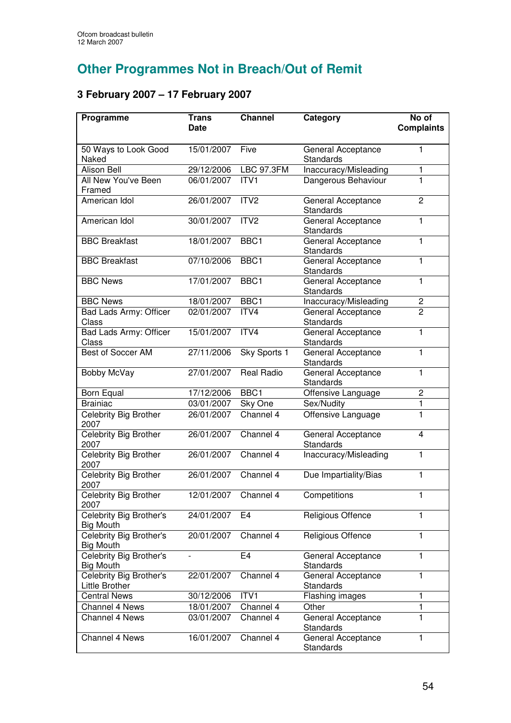# **Other Programmes Not in Breach/Out of Remit**

# **3 February 2007 – 17 February 2007**

| Programme                                   | <b>Trans</b> | <b>Channel</b>    | Category                                  | No of             |
|---------------------------------------------|--------------|-------------------|-------------------------------------------|-------------------|
|                                             | <b>Date</b>  |                   |                                           | <b>Complaints</b> |
| 50 Ways to Look Good                        | 15/01/2007   | Five              | General Acceptance                        | 1                 |
| Naked<br>Alison Bell                        | 29/12/2006   | <b>LBC 97.3FM</b> | <b>Standards</b><br>Inaccuracy/Misleading | 1                 |
| All New You've Been                         | 06/01/2007   | ITV1              | Dangerous Behaviour                       | 1                 |
| Framed                                      |              |                   |                                           |                   |
| American Idol                               | 26/01/2007   | ITV <sub>2</sub>  | General Acceptance<br><b>Standards</b>    | $\overline{c}$    |
| American Idol                               | 30/01/2007   | ITV2              | General Acceptance<br><b>Standards</b>    | 1                 |
| <b>BBC Breakfast</b>                        | 18/01/2007   | BBC1              | General Acceptance<br>Standards           | 1                 |
| <b>BBC Breakfast</b>                        | 07/10/2006   | BBC1              | General Acceptance<br><b>Standards</b>    | 1                 |
| <b>BBC News</b>                             | 17/01/2007   | BBC1              | General Acceptance<br><b>Standards</b>    | 1                 |
| <b>BBC News</b>                             | 18/01/2007   | BBC1              | Inaccuracy/Misleading                     | $\overline{c}$    |
| <b>Bad Lads Army: Officer</b><br>Class      | 02/01/2007   | ITV4              | General Acceptance<br>Standards           | $\overline{2}$    |
| Bad Lads Army: Officer<br>Class             | 15/01/2007   | ITV4              | General Acceptance<br>Standards           | $\mathbf{1}$      |
| <b>Best of Soccer AM</b>                    | 27/11/2006   | Sky Sports 1      | General Acceptance<br>Standards           | 1                 |
| Bobby McVay                                 | 27/01/2007   | <b>Real Radio</b> | General Acceptance<br>Standards           | $\mathbf{1}$      |
| Born Equal                                  | 17/12/2006   | BBC1              | Offensive Language                        | $\overline{c}$    |
| <b>Brainiac</b>                             | 03/01/2007   | Sky One           | Sex/Nudity                                | 1                 |
| Celebrity Big Brother<br>2007               | 26/01/2007   | Channel 4         | Offensive Language                        | 1                 |
| Celebrity Big Brother<br>2007               | 26/01/2007   | Channel 4         | General Acceptance<br>Standards           | $\overline{4}$    |
| <b>Celebrity Big Brother</b><br>2007        | 26/01/2007   | Channel 4         | Inaccuracy/Misleading                     | $\mathbf{1}$      |
| Celebrity Big Brother<br>2007               | 26/01/2007   | Channel 4         | Due Impartiality/Bias                     | $\mathbf{1}$      |
| Celebrity Big Brother<br>2007               | 12/01/2007   | Channel 4         | Competitions                              | 1                 |
| Celebrity Big Brother's<br><b>Big Mouth</b> | 24/01/2007   | E4                | Religious Offence                         | 1                 |
| Celebrity Big Brother's<br><b>Big Mouth</b> | 20/01/2007   | Channel 4         | Religious Offence                         | 1                 |
| Celebrity Big Brother's<br><b>Big Mouth</b> |              | E <sub>4</sub>    | General Acceptance<br>Standards           | 1                 |
| Celebrity Big Brother's<br>Little Brother   | 22/01/2007   | Channel 4         | General Acceptance<br>Standards           | 1                 |
| <b>Central News</b>                         | 30/12/2006   | ITV1              | Flashing images                           | 1                 |
| <b>Channel 4 News</b>                       | 18/01/2007   | Channel 4         | Other                                     | 1                 |
| Channel 4 News                              | 03/01/2007   | Channel 4         | General Acceptance<br>Standards           | 1                 |
| <b>Channel 4 News</b>                       | 16/01/2007   | Channel 4         | General Acceptance<br>Standards           | 1                 |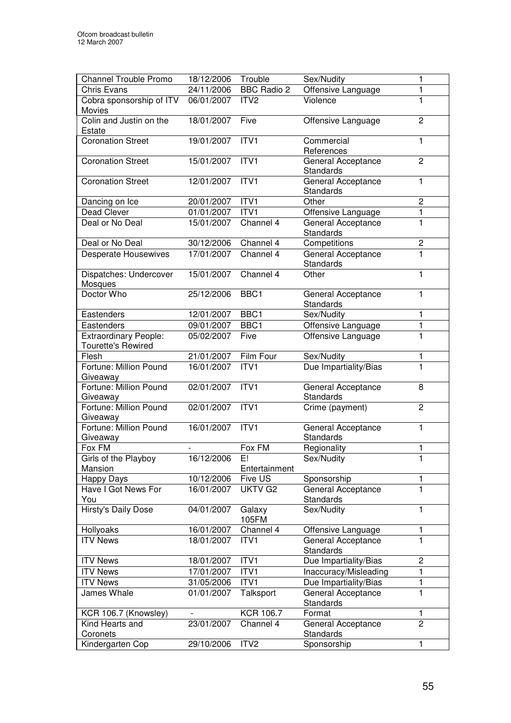| <b>Channel Trouble Promo</b>                              | 18/12/2006        | Trouble            | Sex/Nudity                             | 1              |
|-----------------------------------------------------------|-------------------|--------------------|----------------------------------------|----------------|
| <b>Chris Evans</b>                                        | 24/11/2006        | <b>BBC Radio 2</b> | Offensive Language                     | 1              |
| Cobra sponsorship of ITV<br>Movies                        | 06/01/2007        | ITV <sub>2</sub>   | Violence                               | 1              |
| Colin and Justin on the<br>Estate                         | 18/01/2007        | Five               | Offensive Language                     | $\overline{2}$ |
| <b>Coronation Street</b>                                  | 19/01/2007        | ITVI               | Commercial<br>References               | 1              |
| <b>Coronation Street</b>                                  | 15/01/2007        | ITV1               | General Acceptance<br>Standards        | $\overline{2}$ |
| <b>Coronation Street</b>                                  | 12/01/2007        | ITV1               | General Acceptance<br><b>Standards</b> | $\mathbf{1}$   |
| Dancing on Ice                                            | 20/01/2007        | ITV1               | Other                                  | $\overline{c}$ |
| Dead Clever                                               | 01/01/2007        | ITV1               | Offensive Language                     | 1              |
| Deal or No Deal                                           | 15/01/2007        | Channel 4          | General Acceptance<br><b>Standards</b> | 1              |
| Deal or No Deal                                           | 30/12/2006        | Channel 4          | Competitions                           | 2              |
| <b>Desperate Housewives</b>                               | 17/01/2007        | Channel 4          | General Acceptance<br><b>Standards</b> | 1              |
| Dispatches: Undercover<br>Mosques                         | 15/01/2007        | Channel 4          | Other                                  | 1              |
| Doctor Who                                                | 25/12/2006        | BBC1               | General Acceptance<br><b>Standards</b> | 1              |
| Eastenders                                                | 12/01/2007        | BBC1               | Sex/Nudity                             | 1              |
| Eastenders                                                | 09/01/2007        | BBC1               | Offensive Language                     | 1              |
| <b>Extraordinary People:</b><br><b>Tourette's Rewired</b> | 05/02/2007        | Five               | Offensive Language                     | 1              |
| Flesh                                                     | 21/01/2007        | Film Four          | Sex/Nudity                             | 1              |
| Fortune: Million Pound<br>Giveaway                        | 16/01/2007        | ITVI               | Due Impartiality/Bias                  | $\overline{1}$ |
| Fortune: Million Pound<br>Giveaway                        | 02/01/2007        | ITV1               | General Acceptance<br>Standards        | 8              |
| Fortune: Million Pound<br>Giveaway                        | 02/01/2007        | ITV1               | Crime (payment)                        | $\overline{c}$ |
| Fortune: Million Pound<br>Giveaway                        | 16/01/2007        | ITVI               | General Acceptance<br><b>Standards</b> | 1              |
| Fox FM                                                    |                   | Fox FM             | Regionality                            | 1              |
| Girls of the Playboy                                      | 16/12/2006        | Fi                 | Sex/Nudity                             | 1              |
| Mansion                                                   |                   | Entertainment      |                                        |                |
| Happy Days                                                | 10/12/2006        | Five US            | Sponsorship                            | 1              |
| Have I Got News For<br>You                                | 16/01/2007        | UKTV G2            | General Acceptance<br><b>Standards</b> | 1              |
| Hirsty's Daily Dose                                       | 04/01/2007        | Galaxy<br>105FM    | Sex/Nudity                             | 1              |
| Hollyoaks                                                 | 16/01/2007        | Channel 4          | Offensive Language                     | 1              |
| <b>ITV News</b>                                           | 18/01/2007        | ITV1               | General Acceptance<br><b>Standards</b> | 1              |
| <b>ITV News</b>                                           | 18/01/2007        | ITV1               | Due Impartiality/Bias                  | $\overline{c}$ |
| <b>ITV News</b>                                           | 17/01/2007        | ITV1               | Inaccuracy/Misleading                  | 1              |
| <b>ITV News</b>                                           | 31/05/2006        | ITV1               | Due Impartiality/Bias                  | 1              |
| James Whale                                               | 01/01/2007        | Talksport          | General Acceptance<br>Standards        | $\mathbf{1}$   |
| KCR 106.7 (Knowsley)                                      | $\qquad \qquad -$ | <b>KCR 106.7</b>   | Format                                 | 1              |
| Kind Hearts and                                           | 23/01/2007        | Channel 4          | General Acceptance                     | $\overline{2}$ |
| Coronets                                                  |                   |                    | <b>Standards</b>                       |                |
| Kindergarten Cop                                          | 29/10/2006        | ITV <sub>2</sub>   | Sponsorship                            | 1              |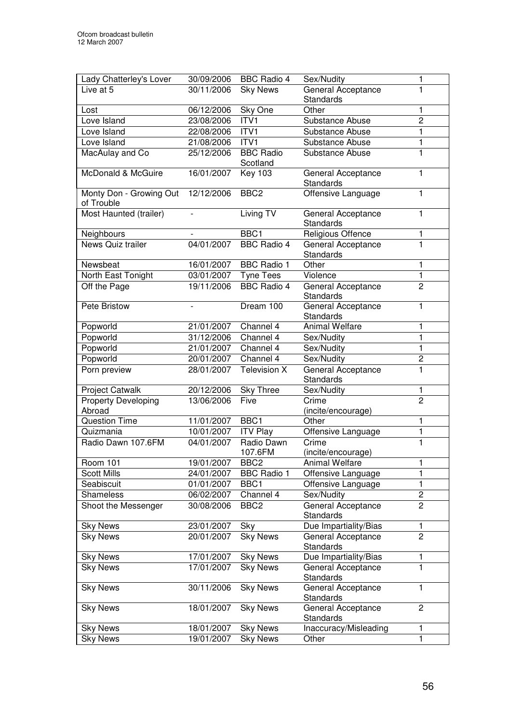| Lady Chatterley's Lover               | 30/09/2006               | <b>BBC Radio 4</b>           | Sex/Nudity                             | 1              |
|---------------------------------------|--------------------------|------------------------------|----------------------------------------|----------------|
| Live at 5                             | 30/11/2006               | <b>Sky News</b>              | General Acceptance                     | 1              |
|                                       |                          |                              | <b>Standards</b>                       |                |
| Lost                                  | 06/12/2006               | Sky One                      | Other                                  | 1              |
| Love Island                           | 23/08/2006               | ITV1                         | <b>Substance Abuse</b>                 | $\overline{2}$ |
| Love Island                           | 22/08/2006               | ITV <sub>1</sub>             | Substance Abuse                        | 1              |
| Love Island                           | 21/08/2006               | ITVI                         | Substance Abuse                        | 1              |
| MacAulay and Co                       | 25/12/2006               | <b>BBC Radio</b><br>Scotland | <b>Substance Abuse</b>                 | 1              |
| McDonald & McGuire                    | 16/01/2007               | <b>Key 103</b>               | General Acceptance<br><b>Standards</b> | $\mathbf{1}$   |
| Monty Don - Growing Out<br>of Trouble | 12/12/2006               | BBC <sub>2</sub>             | Offensive Language                     | 1              |
| Most Haunted (trailer)                | $\overline{\phantom{0}}$ | Living TV                    | General Acceptance<br><b>Standards</b> | 1              |
| Neighbours                            |                          | BBC1                         | Religious Offence                      | 1              |
| News Quiz trailer                     | 04/01/2007               | <b>BBC Radio 4</b>           | General Acceptance<br>Standards        | 1              |
| Newsbeat                              | 16/01/2007               | <b>BBC Radio 1</b>           | Other                                  | 1              |
| North East Tonight                    | 03/01/2007               | <b>Tyne Tees</b>             | Violence                               | $\mathbf{1}$   |
| Off the Page                          | 19/11/2006               | <b>BBC Radio 4</b>           | General Acceptance<br>Standards        | $\overline{2}$ |
| Pete Bristow                          |                          | Dream 100                    | General Acceptance<br>Standards        | 1              |
| Popworld                              | 21/01/2007               | Channel 4                    | <b>Animal Welfare</b>                  | 1              |
| Popworld                              | 31/12/2006               | Channel 4                    | Sex/Nudity                             | 1              |
| Popworld                              | 21/01/2007               | Channel 4                    | Sex/Nudity                             | 1              |
| Popworld                              | 20/01/2007               | Channel 4                    | Sex/Nudity                             | $\overline{2}$ |
| Porn preview                          | 28/01/2007               | <b>Television X</b>          | General Acceptance<br><b>Standards</b> | $\mathbf{1}$   |
| Project Catwalk                       | 20/12/2006               | <b>Sky Three</b>             | Sex/Nudity                             | $\mathbf{1}$   |
| <b>Property Developing</b>            | 13/06/2006               | Five                         | Crime                                  | $\overline{2}$ |
| Abroad                                |                          |                              | (incite/encourage)                     |                |
| <b>Question Time</b>                  | 11/01/2007               | BBC1                         | Other                                  | 1              |
| Quizmania                             | 10/01/2007               | <b>ITV Play</b>              | Offensive Language                     | 1              |
| Radio Dawn 107.6FM                    | 04/01/2007               | Radio Dawn<br>107.6FM        | Crime<br>(incite/encourage)            | $\mathbf{1}$   |
| <b>Room 101</b>                       | 19/01/2007               | BBC <sub>2</sub>             | Animal Welfare                         | 1              |
| <b>Scott Mills</b>                    | 24/01/2007               | <b>BBC Radio 1</b>           | Offensive Language                     | $\mathbf{1}$   |
| Seabiscuit                            | 01/01/2007               | BBC1                         | Offensive Language                     | 1              |
| Shameless                             | 06/02/2007               | Channel 4                    | Sex/Nudity                             | 2              |
| Shoot the Messenger                   | 30/08/2006               | BBC <sub>2</sub>             | General Acceptance<br><b>Standards</b> | $\overline{c}$ |
| <b>Sky News</b>                       | 23/01/2007               | Sky                          | Due Impartiality/Bias                  | 1              |
| <b>Sky News</b>                       | 20/01/2007               | <b>Sky News</b>              | General Acceptance<br>Standards        | $\overline{2}$ |
| <b>Sky News</b>                       | 17/01/2007               | <b>Sky News</b>              | Due Impartiality/Bias                  | 1              |
| <b>Sky News</b>                       | 17/01/2007               | <b>Sky News</b>              | General Acceptance<br>Standards        | 1              |
| <b>Sky News</b>                       | 30/11/2006               | <b>Sky News</b>              | General Acceptance<br>Standards        | 1              |
| <b>Sky News</b>                       | 18/01/2007               | <b>Sky News</b>              | General Acceptance<br>Standards        | $\overline{c}$ |
| <b>Sky News</b>                       | 18/01/2007               | <b>Sky News</b>              | Inaccuracy/Misleading                  | 1              |
| <b>Sky News</b>                       | 19/01/2007               | <b>Sky News</b>              | Other                                  | 1              |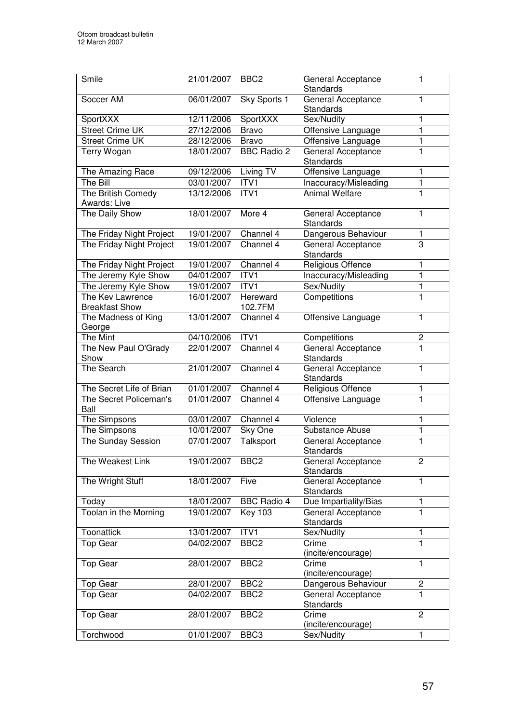| Smile                              | 21/01/2007 | BBC <sub>2</sub>   | General Acceptance<br>Standards        | 1              |
|------------------------------------|------------|--------------------|----------------------------------------|----------------|
| Soccer AM                          | 06/01/2007 | Sky Sports 1       | General Acceptance<br>Standards        | 1              |
| SportXXX                           | 12/11/2006 | SportXXX           | Sex/Nudity                             | 1              |
| <b>Street Crime UK</b>             | 27/12/2006 | <b>Bravo</b>       | Offensive Language                     | 1              |
| <b>Street Crime UK</b>             | 28/12/2006 | <b>Bravo</b>       | Offensive Language                     | 1              |
| <b>Terry Wogan</b>                 | 18/01/2007 | <b>BBC Radio 2</b> | General Acceptance<br>Standards        | 1              |
| The Amazing Race                   | 09/12/2006 | Living TV          | Offensive Language                     | 1              |
| The Bill                           | 03/01/2007 | ITV1               | Inaccuracy/Misleading                  | 1              |
| The British Comedy<br>Awards: Live | 13/12/2006 | ITVI               | <b>Animal Welfare</b>                  | 1              |
| The Daily Show                     | 18/01/2007 | More 4             | General Acceptance<br><b>Standards</b> | 1              |
| The Friday Night Project           | 19/01/2007 | Channel 4          | Dangerous Behaviour                    | 1              |
| The Friday Night Project           | 19/01/2007 | Channel 4          | General Acceptance<br><b>Standards</b> | 3              |
| The Friday Night Project           | 19/01/2007 | Channel 4          | Religious Offence                      | 1              |
| The Jeremy Kyle Show               | 04/01/2007 | ITV1               | Inaccuracy/Misleading                  | 1              |
| The Jeremy Kyle Show               | 19/01/2007 | ITV1               | Sex/Nudity                             | 1              |
| The Key Lawrence                   | 16/01/2007 | Hereward           | Competitions                           | 1              |
| <b>Breakfast Show</b>              |            | 102.7FM            |                                        |                |
| The Madness of King<br>George      | 13/01/2007 | Channel 4          | Offensive Language                     | 1              |
| The Mint                           | 04/10/2006 | ITV1               | Competitions                           | $\overline{c}$ |
| The New Paul O'Grady<br>Show       | 22/01/2007 | Channel 4          | General Acceptance<br>Standards        | 1              |
| The Search                         | 21/01/2007 | Channel 4          | General Acceptance<br>Standards        | 1              |
| The Secret Life of Brian           | 01/01/2007 | Channel 4          | Religious Offence                      | 1              |
| The Secret Policeman's<br>Ball     | 01/01/2007 | Channel 4          | Offensive Language                     | 1              |
| The Simpsons                       | 03/01/2007 | Channel 4          | Violence                               | 1              |
| The Simpsons                       | 10/01/2007 | Sky One            | Substance Abuse                        | 1              |
| The Sunday Session                 | 07/01/2007 | Talksport          | General Acceptance<br>Standards        | 1              |
| The Weakest Link                   | 19/01/2007 | BBC <sub>2</sub>   | General Acceptance<br>Standards        | 2              |
| The Wright Stuff                   | 18/01/2007 | Five               | General Acceptance<br>Standards        | 1              |
| Today                              | 18/01/2007 | <b>BBC Radio 4</b> | Due Impartiality/Bias                  | 1              |
| Toolan in the Morning              | 19/01/2007 | <b>Key 103</b>     | General Acceptance<br>Standards        | 1              |
| Toonattick                         | 13/01/2007 | ITV1               | Sex/Nudity                             | 1              |
| <b>Top Gear</b>                    | 04/02/2007 | BBC <sub>2</sub>   | Crime<br>(incite/encourage)            | 1              |
| <b>Top Gear</b>                    | 28/01/2007 | BBC <sub>2</sub>   | Crime<br>(incite/encourage)            | 1              |
| Top Gear                           | 28/01/2007 | BBC <sub>2</sub>   | Dangerous Behaviour                    | $\overline{c}$ |
| Top Gear                           | 04/02/2007 | BBC <sub>2</sub>   | General Acceptance<br>Standards        | 1              |
| Top Gear                           | 28/01/2007 | BBC <sub>2</sub>   | Crime<br>(incite/encourage)            | $\overline{2}$ |
| Torchwood                          | 01/01/2007 | BBC <sub>3</sub>   | Sex/Nudity                             | 1              |